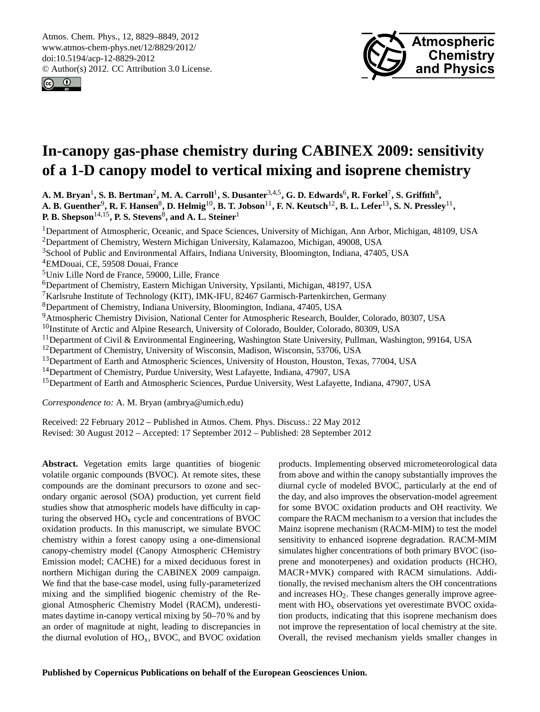<span id="page-0-0"></span>Atmos. Chem. Phys., 12, 8829–8849, 2012 www.atmos-chem-phys.net/12/8829/2012/ doi:10.5194/acp-12-8829-2012 © Author(s) 2012. CC Attribution 3.0 License.





# **In-canopy gas-phase chemistry during CABINEX 2009: sensitivity of a 1-D canopy model to vertical mixing and isoprene chemistry**

**A. M. Bryan**<sup>1</sup> **, S. B. Bertman**<sup>2</sup> **, M. A. Carroll**<sup>1</sup> **, S. Dusanter**3,4,5**, G. D. Edwards**<sup>6</sup> **, R. Forkel**<sup>7</sup> **, S. Griffith**<sup>8</sup> **, A. B. Guenther**<sup>9</sup> **, R. F. Hansen**<sup>8</sup> **, D. Helmig**10**, B. T. Jobson**11**, F. N. Keutsch**12**, B. L. Lefer**13**, S. N. Pressley**<sup>11</sup> **, P. B. Shepson**14,15**, P. S. Stevens**<sup>8</sup> **, and A. L. Steiner**<sup>1</sup>

<sup>1</sup>Department of Atmospheric, Oceanic, and Space Sciences, University of Michigan, Ann Arbor, Michigan, 48109, USA

<sup>2</sup>Department of Chemistry, Western Michigan University, Kalamazoo, Michigan, 49008, USA

<sup>3</sup>School of Public and Environmental Affairs, Indiana University, Bloomington, Indiana, 47405, USA

<sup>4</sup>EMDouai, CE, 59508 Douai, France

<sup>5</sup>Univ Lille Nord de France, 59000, Lille, France

<sup>6</sup>Department of Chemistry, Eastern Michigan University, Ypsilanti, Michigan, 48197, USA

<sup>7</sup>Karlsruhe Institute of Technology (KIT), IMK-IFU, 82467 Garmisch-Partenkirchen, Germany

<sup>8</sup>Department of Chemistry, Indiana University, Bloomington, Indiana, 47405, USA

<sup>9</sup>Atmospheric Chemistry Division, National Center for Atmospheric Research, Boulder, Colorado, 80307, USA

<sup>10</sup>Institute of Arctic and Alpine Research, University of Colorado, Boulder, Colorado, 80309, USA

<sup>11</sup>Department of Civil & Environmental Engineering, Washington State University, Pullman, Washington, 99164, USA

<sup>12</sup>Department of Chemistry, University of Wisconsin, Madison, Wisconsin, 53706, USA

<sup>13</sup>Department of Earth and Atmospheric Sciences, University of Houston, Houston, Texas, 77004, USA

<sup>14</sup>Department of Chemistry, Purdue University, West Lafayette, Indiana, 47907, USA

<sup>15</sup>Department of Earth and Atmospheric Sciences, Purdue University, West Lafayette, Indiana, 47907, USA

*Correspondence to:* A. M. Bryan (ambrya@umich.edu)

Received: 22 February 2012 – Published in Atmos. Chem. Phys. Discuss.: 22 May 2012 Revised: 30 August 2012 – Accepted: 17 September 2012 – Published: 28 September 2012

Abstract. Vegetation emits large quantities of biogenic volatile organic compounds (BVOC). At remote sites, these compounds are the dominant precursors to ozone and secondary organic aerosol (SOA) production, yet current field studies show that atmospheric models have difficulty in capturing the observed  $HO<sub>x</sub>$  cycle and concentrations of BVOC oxidation products. In this manuscript, we simulate BVOC chemistry within a forest canopy using a one-dimensional canopy-chemistry model (Canopy Atmospheric CHemistry Emission model; CACHE) for a mixed deciduous forest in northern Michigan during the CABINEX 2009 campaign. We find that the base-case model, using fully-parameterized mixing and the simplified biogenic chemistry of the Regional Atmospheric Chemistry Model (RACM), underestimates daytime in-canopy vertical mixing by 50–70 % and by an order of magnitude at night, leading to discrepancies in the diurnal evolution of  $HO_x$ , BVOC, and BVOC oxidation

products. Implementing observed micrometeorological data from above and within the canopy substantially improves the diurnal cycle of modeled BVOC, particularly at the end of the day, and also improves the observation-model agreement for some BVOC oxidation products and OH reactivity. We compare the RACM mechanism to a version that includes the Mainz isoprene mechanism (RACM-MIM) to test the model sensitivity to enhanced isoprene degradation. RACM-MIM simulates higher concentrations of both primary BVOC (isoprene and monoterpenes) and oxidation products (HCHO, MACR+MVK) compared with RACM simulations. Additionally, the revised mechanism alters the OH concentrations and increases  $HO<sub>2</sub>$ . These changes generally improve agreement with  $HO<sub>x</sub>$  observations yet overestimate BVOC oxidation products, indicating that this isoprene mechanism does not improve the representation of local chemistry at the site. Overall, the revised mechanism yields smaller changes in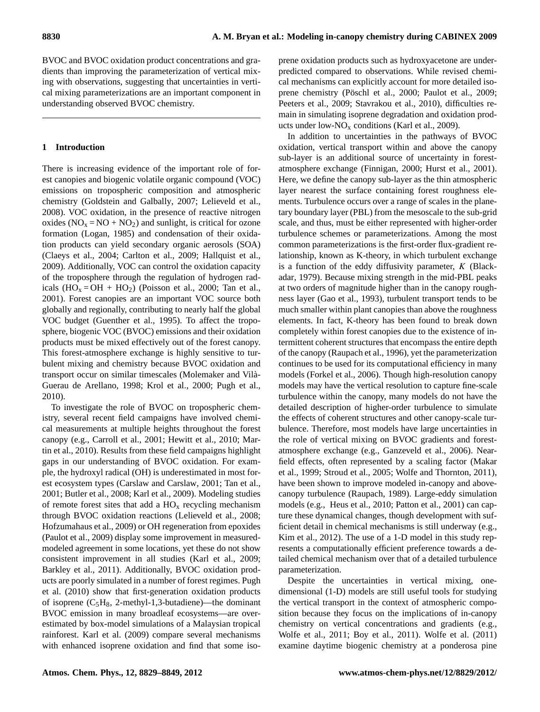BVOC and BVOC oxidation product concentrations and gradients than improving the parameterization of vertical mixing with observations, suggesting that uncertainties in vertical mixing parameterizations are an important component in understanding observed BVOC chemistry.

# **1 Introduction**

There is increasing evidence of the important role of forest canopies and biogenic volatile organic compound (VOC) emissions on tropospheric composition and atmospheric chemistry [\(Goldstein and Galbally,](#page-17-0) [2007;](#page-17-0) [Lelieveld et al.,](#page-18-0) [2008\)](#page-18-0). VOC oxidation, in the presence of reactive nitrogen oxides  $(NO<sub>x</sub> = NO + NO<sub>2</sub>)$  and sunlight, is critical for ozone formation [\(Logan,](#page-18-1) [1985\)](#page-18-1) and condensation of their oxidation products can yield secondary organic aerosols (SOA) [\(Claeys et al.,](#page-17-1) [2004;](#page-17-1) [Carlton et al.,](#page-17-2) [2009;](#page-17-2) [Hallquist et al.,](#page-17-3) [2009\)](#page-17-3). Additionally, VOC can control the oxidation capacity of the troposphere through the regulation of hydrogen radicals  $(HO_x = OH + HO_2)$  [\(Poisson et al.,](#page-19-0) [2000;](#page-19-0) [Tan et al.,](#page-20-0) [2001\)](#page-20-0). Forest canopies are an important VOC source both globally and regionally, contributing to nearly half the global VOC budget [\(Guenther et al.,](#page-17-4) [1995\)](#page-17-4). To affect the troposphere, biogenic VOC (BVOC) emissions and their oxidation products must be mixed effectively out of the forest canopy. This forest-atmosphere exchange is highly sensitive to turbulent mixing and chemistry because BVOC oxidation and transport occur on similar timescales [\(Molemaker and Vila-`](#page-19-1) [Guerau de Arellano,](#page-19-1) [1998;](#page-19-1) [Krol et al.,](#page-18-2) [2000;](#page-18-2) [Pugh et al.,](#page-19-2) [2010\)](#page-19-2).

To investigate the role of BVOC on tropospheric chemistry, several recent field campaigns have involved chemical measurements at multiple heights throughout the forest canopy (e.g., [Carroll et al.,](#page-17-5) [2001;](#page-17-5) [Hewitt et al.,](#page-18-3) [2010;](#page-18-3) [Mar](#page-18-4)[tin et al.,](#page-18-4) [2010\)](#page-18-4). Results from these field campaigns highlight gaps in our understanding of BVOC oxidation. For example, the hydroxyl radical (OH) is underestimated in most forest ecosystem types [\(Carslaw and Carslaw,](#page-17-6) [2001;](#page-17-6) [Tan et al.,](#page-20-0) [2001;](#page-20-0) [Butler et al.,](#page-17-7) [2008;](#page-17-7) [Karl et al.,](#page-18-5) [2009\)](#page-18-5). Modeling studies of remote forest sites that add a  $HO_x$  recycling mechanism through BVOC oxidation reactions [\(Lelieveld et al.,](#page-18-0) [2008;](#page-18-0) [Hofzumahaus et al.,](#page-18-6) [2009\)](#page-18-6) or OH regeneration from epoxides [\(Paulot et al.,](#page-19-3) [2009\)](#page-19-3) display some improvement in measuredmodeled agreement in some locations, yet these do not show consistent improvement in all studies [\(Karl et al.,](#page-18-5) [2009;](#page-18-5) [Barkley et al.,](#page-16-0) [2011\)](#page-16-0). Additionally, BVOC oxidation products are poorly simulated in a number of forest regimes. [Pugh](#page-19-2) [et al.](#page-19-2) [\(2010\)](#page-19-2) show that first-generation oxidation products of isoprene  $(C_5H_8, 2$ -methyl-1,3-butadiene)—the dominant BVOC emission in many broadleaf ecosystems—are overestimated by box-model simulations of a Malaysian tropical rainforest. [Karl et al.](#page-18-5) [\(2009\)](#page-18-5) compare several mechanisms with enhanced isoprene oxidation and find that some isoprene oxidation products such as hydroxyacetone are underpredicted compared to observations. While revised chemical mechanisms can explicitly account for more detailed iso-prene chemistry (Pöschl et al., [2000;](#page-19-4) [Paulot et al.,](#page-19-3) [2009;](#page-19-3) [Peeters et al.,](#page-19-5) [2009;](#page-19-5) [Stavrakou et al.,](#page-19-6) [2010\)](#page-19-6), difficulties remain in simulating isoprene degradation and oxidation products under low- $NO<sub>x</sub>$  conditions [\(Karl et al.,](#page-18-5) [2009\)](#page-18-5).

In addition to uncertainties in the pathways of BVOC oxidation, vertical transport within and above the canopy sub-layer is an additional source of uncertainty in forestatmosphere exchange [\(Finnigan,](#page-17-8) [2000;](#page-17-8) [Hurst et al.,](#page-18-7) [2001\)](#page-18-7). Here, we define the canopy sub-layer as the thin atmospheric layer nearest the surface containing forest roughness elements. Turbulence occurs over a range of scales in the planetary boundary layer (PBL) from the mesoscale to the sub-grid scale, and thus, must be either represented with higher-order turbulence schemes or parameterizations. Among the most common parameterizations is the first-order flux-gradient relationship, known as K-theory, in which turbulent exchange is a function of the eddy diffusivity parameter,  $K$  [\(Black](#page-16-1)[adar,](#page-16-1) [1979\)](#page-16-1). Because mixing strength in the mid-PBL peaks at two orders of magnitude higher than in the canopy roughness layer [\(Gao et al.,](#page-17-9) [1993\)](#page-17-9), turbulent transport tends to be much smaller within plant canopies than above the roughness elements. In fact, K-theory has been found to break down completely within forest canopies due to the existence of intermittent coherent structures that encompass the entire depth of the canopy [\(Raupach et al.,](#page-19-7) [1996\)](#page-19-7), yet the parameterization continues to be used for its computational efficiency in many models [\(Forkel et al.,](#page-17-10) [2006\)](#page-17-10). Though high-resolution canopy models may have the vertical resolution to capture fine-scale turbulence within the canopy, many models do not have the detailed description of higher-order turbulence to simulate the effects of coherent structures and other canopy-scale turbulence. Therefore, most models have large uncertainties in the role of vertical mixing on BVOC gradients and forestatmosphere exchange (e.g., [Ganzeveld et al.,](#page-17-11) [2006\)](#page-17-11). Nearfield effects, often represented by a scaling factor [\(Makar](#page-18-8) [et al.,](#page-18-8) [1999;](#page-18-8) [Stroud et al.,](#page-20-1) [2005;](#page-20-1) [Wolfe and Thornton,](#page-20-2) [2011\)](#page-20-2), have been shown to improve modeled in-canopy and abovecanopy turbulence [\(Raupach,](#page-19-8) [1989\)](#page-19-8). Large-eddy simulation models (e.g., [Heus et al.,](#page-18-9) [2010;](#page-18-9) [Patton et al.,](#page-19-9) [2001\)](#page-19-9) can capture these dynamical changes, though development with sufficient detail in chemical mechanisms is still underway (e.g., [Kim et al.,](#page-18-10) [2012\)](#page-18-10). The use of a 1-D model in this study represents a computationally efficient preference towards a detailed chemical mechanism over that of a detailed turbulence parameterization.

Despite the uncertainties in vertical mixing, onedimensional (1-D) models are still useful tools for studying the vertical transport in the context of atmospheric composition because they focus on the implications of in-canopy chemistry on vertical concentrations and gradients (e.g., [Wolfe et al.,](#page-20-3) [2011;](#page-20-3) [Boy et al.,](#page-17-12) [2011\)](#page-17-12). [Wolfe et al.](#page-20-3) [\(2011\)](#page-20-3) examine daytime biogenic chemistry at a ponderosa pine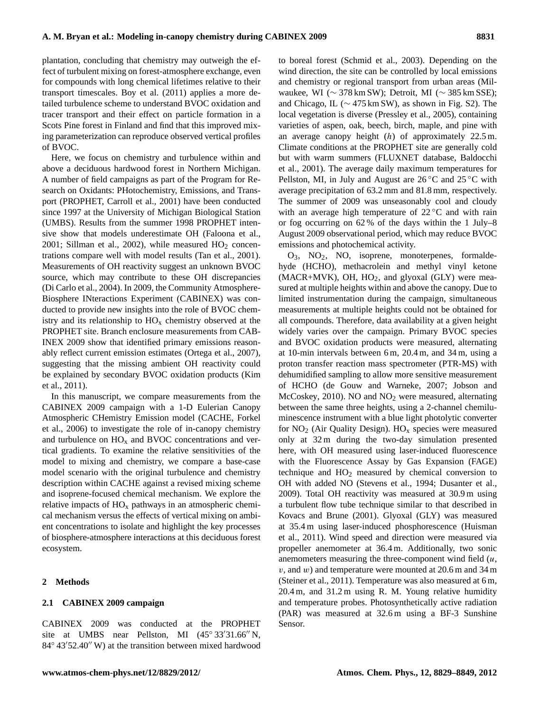plantation, concluding that chemistry may outweigh the effect of turbulent mixing on forest-atmosphere exchange, even for compounds with long chemical lifetimes relative to their transport timescales. [Boy et al.](#page-17-12) [\(2011\)](#page-17-12) applies a more detailed turbulence scheme to understand BVOC oxidation and tracer transport and their effect on particle formation in a Scots Pine forest in Finland and find that this improved mixing parameterization can reproduce observed vertical profiles of BVOC.

Here, we focus on chemistry and turbulence within and above a deciduous hardwood forest in Northern Michigan. A number of field campaigns as part of the Program for Research on Oxidants: PHotochemistry, Emissions, and Transport (PROPHET, [Carroll et al.,](#page-17-5) [2001\)](#page-17-5) have been conducted since 1997 at the University of Michigan Biological Station (UMBS). Results from the summer 1998 PROPHET intensive show that models underestimate OH [\(Faloona et al.,](#page-17-13) [2001;](#page-17-13) [Sillman et al.,](#page-19-10) [2002\)](#page-19-10), while measured  $HO<sub>2</sub>$  concentrations compare well with model results [\(Tan et al.,](#page-20-0) [2001\)](#page-20-0). Measurements of OH reactivity suggest an unknown BVOC source, which may contribute to these OH discrepancies [\(Di Carlo et al.,](#page-17-14) [2004\)](#page-17-14). In 2009, the Community Atmosphere-Biosphere INteractions Experiment (CABINEX) was conducted to provide new insights into the role of BVOC chemistry and its relationship to  $HO<sub>x</sub>$  chemistry observed at the PROPHET site. Branch enclosure measurements from CAB-INEX 2009 show that identified primary emissions reasonably reflect current emission estimates [\(Ortega et al.,](#page-19-11) [2007\)](#page-19-11), suggesting that the missing ambient OH reactivity could be explained by secondary BVOC oxidation products [\(Kim](#page-18-11) [et al.,](#page-18-11) [2011\)](#page-18-11).

In this manuscript, we compare measurements from the CABINEX 2009 campaign with a 1-D Eulerian Canopy Atmospheric CHemistry Emission model (CACHE, [Forkel](#page-17-10) [et al.,](#page-17-10) [2006\)](#page-17-10) to investigate the role of in-canopy chemistry and turbulence on  $HO_x$  and BVOC concentrations and vertical gradients. To examine the relative sensitivities of the model to mixing and chemistry, we compare a base-case model scenario with the original turbulence and chemistry description within CACHE against a revised mixing scheme and isoprene-focused chemical mechanism. We explore the relative impacts of  $HO_x$  pathways in an atmospheric chemical mechanism versus the effects of vertical mixing on ambient concentrations to isolate and highlight the key processes of biosphere-atmosphere interactions at this deciduous forest ecosystem.

#### **2 Methods**

#### **2.1 CABINEX 2009 campaign**

CABINEX 2009 was conducted at the PROPHET site at UMBS near Pellston, MI  $(45^{\circ} 33'31.66'' N,$  $84°$  43 $'52.40''$  W) at the transition between mixed hardwood to boreal forest [\(Schmid et al.,](#page-19-12) [2003\)](#page-19-12). Depending on the wind direction, the site can be controlled by local emissions and chemistry or regional transport from urban areas (Milwaukee, WI (∼ 378 km SW); Detroit, MI (∼ 385 km SSE); and Chicago, IL ( $\sim$  475 km SW), as shown in Fig. S2). The local vegetation is diverse [\(Pressley et al.,](#page-19-13) [2005\)](#page-19-13), containing varieties of aspen, oak, beech, birch, maple, and pine with an average canopy height  $(h)$  of approximately 22.5 m. Climate conditions at the PROPHET site are generally cold but with warm summers (FLUXNET database, [Baldocchi](#page-16-2) [et al.,](#page-16-2) [2001\)](#page-16-2). The average daily maximum temperatures for Pellston, MI, in July and August are  $26^{\circ}$ C and  $25^{\circ}$ C with average precipitation of 63.2 mm and 81.8 mm, respectively. The summer of 2009 was unseasonably cool and cloudy with an average high temperature of  $22^{\circ}$ C and with rain or fog occurring on 62 % of the days within the 1 July–8 August 2009 observational period, which may reduce BVOC emissions and photochemical activity.

O3, NO2, NO, isoprene, monoterpenes, formaldehyde (HCHO), methacrolein and methyl vinyl ketone  $(MACR+MVK)$ , OH,  $HO<sub>2</sub>$ , and glyoxal (GLY) were measured at multiple heights within and above the canopy. Due to limited instrumentation during the campaign, simultaneous measurements at multiple heights could not be obtained for all compounds. Therefore, data availability at a given height widely varies over the campaign. Primary BVOC species and BVOC oxidation products were measured, alternating at 10-min intervals between 6 m, 20.4 m, and 34 m, using a proton transfer reaction mass spectrometer (PTR-MS) with dehumidified sampling to allow more sensitive measurement of HCHO [\(de Gouw and Warneke,](#page-17-15) [2007;](#page-17-15) [Jobson and](#page-18-12)  $McCoskey$ , [2010\)](#page-18-12). NO and  $NO<sub>2</sub>$  were measured, alternating between the same three heights, using a 2-channel chemiluminescence instrument with a blue light photolytic converter for  $NO<sub>2</sub>$  (Air Quality Design).  $HO<sub>x</sub>$  species were measured only at 32 m during the two-day simulation presented here, with OH measured using laser-induced fluorescence with the Fluorescence Assay by Gas Expansion (FAGE) technique and  $HO<sub>2</sub>$  measured by chemical conversion to OH with added NO [\(Stevens et al.,](#page-19-14) [1994;](#page-19-14) [Dusanter et al.,](#page-17-16) [2009\)](#page-17-16). Total OH reactivity was measured at 30.9 m using a turbulent flow tube technique similar to that described in [Kovacs and Brune](#page-18-13) [\(2001\)](#page-18-13). Glyoxal (GLY) was measured at 35.4 m using laser-induced phosphorescence [\(Huisman](#page-18-14) [et al.,](#page-18-14) [2011\)](#page-18-14). Wind speed and direction were measured via propeller anemometer at 36.4 m. Additionally, two sonic anemometers measuring the three-component wind field  $(u,$  $v$ , and  $w$ ) and temperature were mounted at 20.6 m and 34 m [\(Steiner et al.,](#page-19-15) [2011\)](#page-19-15). Temperature was also measured at 6 m, 20.4 m, and 31.2 m using R. M. Young relative humidity and temperature probes. Photosynthetically active radiation (PAR) was measured at 32.6 m using a BF-3 Sunshine Sensor.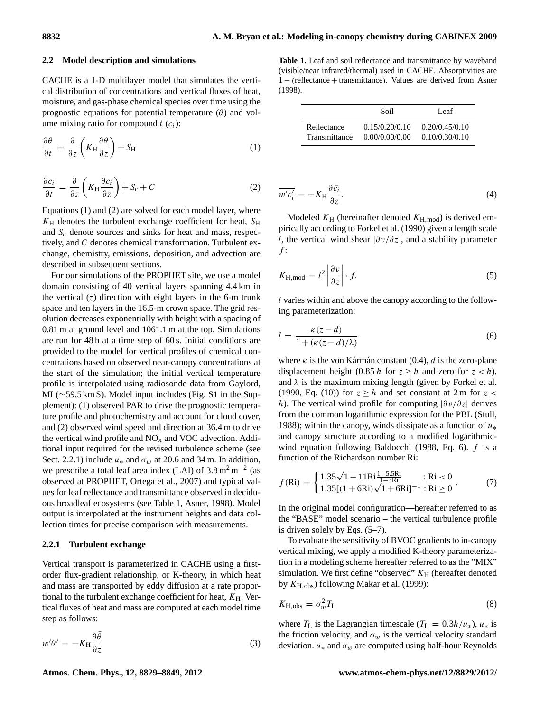#### **2.2 Model description and simulations**

CACHE is a 1-D multilayer model that simulates the vertical distribution of concentrations and vertical fluxes of heat, moisture, and gas-phase chemical species over time using the prognostic equations for potential temperature  $(\theta)$  and volume mixing ratio for compound  $i(c_i)$ :

$$
\frac{\partial \theta}{\partial t} = \frac{\partial}{\partial z} \left( K_H \frac{\partial \theta}{\partial z} \right) + S_H \tag{1}
$$

<span id="page-3-1"></span>
$$
\frac{\partial c_i}{\partial t} = \frac{\partial}{\partial z} \left( K_H \frac{\partial c_i}{\partial z} \right) + S_c + C \tag{2}
$$

Equations [\(1\)](#page-3-0) and [\(2\)](#page-3-1) are solved for each model layer, where  $K_H$  denotes the turbulent exchange coefficient for heat,  $S_H$ and  $S_c$  denote sources and sinks for heat and mass, respectively, and C denotes chemical transformation. Turbulent exchange, chemistry, emissions, deposition, and advection are described in subsequent sections.

For our simulations of the PROPHET site, we use a model domain consisting of 40 vertical layers spanning 4.4 km in the vertical  $(z)$  direction with eight layers in the 6-m trunk space and ten layers in the 16.5-m crown space. The grid resolution decreases exponentially with height with a spacing of 0.81 m at ground level and 1061.1 m at the top. Simulations are run for 48 h at a time step of 60 s. Initial conditions are provided to the model for vertical profiles of chemical concentrations based on observed near-canopy concentrations at the start of the simulation; the initial vertical temperature profile is interpolated using radiosonde data from Gaylord, MI (∼59.5 km S). Model input includes (Fig. S1 in the Supplement): (1) observed PAR to drive the prognostic temperature profile and photochemistry and account for cloud cover, and (2) observed wind speed and direction at 36.4 m to drive the vertical wind profile and  $NO<sub>x</sub>$  and  $VOC$  advection. Additional input required for the revised turbulence scheme (see Sect. [2.2.1\)](#page-3-2) include  $u_*$  and  $\sigma_w$  at 20.6 and 34 m. In addition, we prescribe a total leaf area index (LAI) of  $3.8 \text{ m}^2 \text{ m}^{-2}$  (as observed at PROPHET, [Ortega et al.,](#page-19-11) [2007\)](#page-19-11) and typical values for leaf reflectance and transmittance observed in deciduous broadleaf ecosystems (see Table [1,](#page-3-3) [Asner,](#page-16-3) [1998\)](#page-16-3). Model output is interpolated at the instrument heights and data collection times for precise comparison with measurements.

## <span id="page-3-2"></span>**2.2.1 Turbulent exchange**

Vertical transport is parameterized in CACHE using a firstorder flux-gradient relationship, or K-theory, in which heat and mass are transported by eddy diffusion at a rate proportional to the turbulent exchange coefficient for heat,  $K_H$ . Vertical fluxes of heat and mass are computed at each model time step as follows:

$$
\overline{w'\theta'} = -K_{\rm H} \frac{\partial \bar{\theta}}{\partial z}
$$
 (3)

<span id="page-3-3"></span><span id="page-3-0"></span>**Table 1.** Leaf and soil reflectance and transmittance by waveband (visible/near infrared/thermal) used in CACHE. Absorptivities are 1 − (reflectance + transmittance). Values are derived from [Asner](#page-16-3) [\(1998\)](#page-16-3).

|               | Soil           | Leaf           |
|---------------|----------------|----------------|
| Reflectance   | 0.15/0.20/0.10 | 0.20/0.45/0.10 |
| Transmittance | 0.00/0.00/0.00 | 0.10/0.30/0.10 |

$$
\overline{w'c_i'} = -K_{\rm H} \frac{\partial \overline{c_i}}{\partial z}.
$$
\n(4)

Modeled  $K_H$  (hereinafter denoted  $K_{H,mod}$ ) is derived empirically according to [Forkel et al.](#page-17-17) [\(1990\)](#page-17-17) given a length scale l, the vertical wind shear  $|\partial v/\partial z|$ , and a stability parameter  $f$ :

<span id="page-3-4"></span>
$$
K_{\rm H,mod} = l^2 \left| \frac{\partial v}{\partial z} \right| \cdot f. \tag{5}
$$

l varies within and above the canopy according to the following parameterization:

$$
l = \frac{\kappa(z - d)}{1 + (\kappa(z - d)/\lambda)}\tag{6}
$$

where  $\kappa$  is the von Kármán constant (0.4), d is the zero-plane displacement height (0.85 h for  $z \ge h$  and zero for  $z < h$ ), and  $\lambda$  is the maximum mixing length (given by [Forkel et al.](#page-17-17) [\(1990,](#page-17-17) Eq. (10)) for  $z \geq h$  and set constant at 2 m for  $z <$ h). The vertical wind profile for computing  $|\partial v/\partial z|$  derives from the common logarithmic expression for the PBL [\(Stull,](#page-20-4) [1988\)](#page-20-4); within the canopy, winds dissipate as a function of  $u_*$ and canopy structure according to a modified logarithmicwind equation following [Baldocchi](#page-16-4) [\(1988,](#page-16-4) Eq. 6). f is a function of the Richardson number Ri:

<span id="page-3-5"></span>
$$
f(\text{Ri}) = \begin{cases} 1.35\sqrt{1 - 11\text{Ri}} \frac{1 - 5.5\text{Ri}}{1 - 3\text{Ri}} & : \text{Ri} < 0\\ 1.35[(1 + 6\text{Ri})\sqrt{1 + 6\text{Ri}}]^{-1} & : \text{Ri} \ge 0 \end{cases} (7)
$$

In the original model configuration—hereafter referred to as the "BASE" model scenario – the vertical turbulence profile is driven solely by Eqs. [\(5–](#page-3-4)[7\)](#page-3-5).

To evaluate the sensitivity of BVOC gradients to in-canopy vertical mixing, we apply a modified K-theory parameterization in a modeling scheme hereafter referred to as the "MIX" simulation. We first define "observed"  $K_H$  (hereafter denoted by  $K_{\text{H,obs}}$ ) following [Makar et al.](#page-18-8) [\(1999\)](#page-18-8):

<span id="page-3-6"></span>
$$
K_{\rm H,obs} = \sigma_w^2 T_{\rm L} \tag{8}
$$

where  $T_{\rm L}$  is the Lagrangian timescale ( $T_{\rm L} = 0.3h/u_*$ ),  $u_*$  is the friction velocity, and  $\sigma_w$  is the vertical velocity standard deviation.  $u_*$  and  $\sigma_w$  are computed using half-hour Reynolds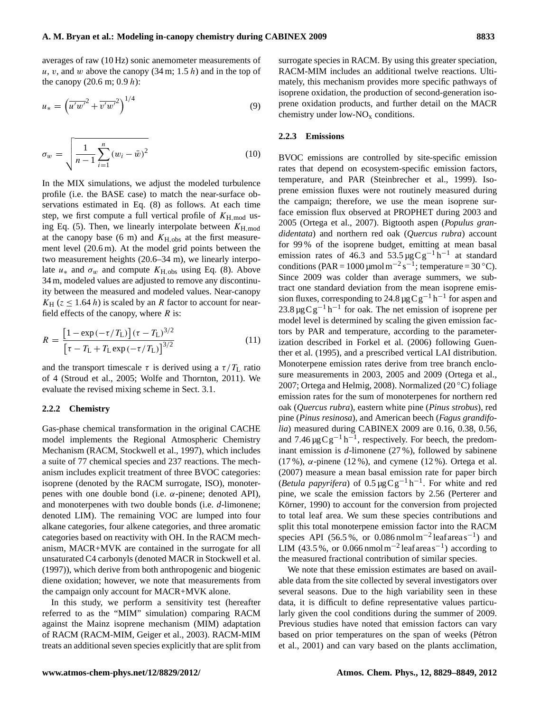averages of raw (10 Hz) sonic anemometer measurements of u, v, and w above the canopy  $(34 \text{ m}; 1.5 h)$  and in the top of the canopy  $(20.6 \text{ m}; 0.9 h)$ :

$$
u_* = \left(\overline{u'w'}^2 + \overline{v'w'}^2\right)^{1/4} \tag{9}
$$

$$
\sigma_w = \sqrt{\frac{1}{n-1} \sum_{i=1}^n (w_i - \bar{w})^2}
$$
 (10)

In the MIX simulations, we adjust the modeled turbulence profile (i.e. the BASE case) to match the near-surface observations estimated in Eq. [\(8\)](#page-3-6) as follows. At each time step, we first compute a full vertical profile of  $K_{\text{H,mod}}$  us-ing Eq. [\(5\)](#page-3-4). Then, we linearly interpolate between  $K_{\text{H,mod}}$ at the canopy base (6 m) and  $K_{\text{H,obs}}$  at the first measurement level (20.6 m). At the model grid points between the two measurement heights (20.6–34 m), we linearly interpolate  $u_*$  and  $\sigma_w$  and compute  $K_{\text{H,obs}}$  using Eq. [\(8\)](#page-3-6). Above 34 m, modeled values are adjusted to remove any discontinuity between the measured and modeled values. Near-canopy  $K_H$  ( $z \leq 1.64$  h) is scaled by an R factor to account for nearfield effects of the canopy, where  $R$  is:

<span id="page-4-0"></span>
$$
R = \frac{\left[1 - \exp\left(-\tau/T_{\rm L}\right)\right](\tau - T_{\rm L})^{3/2}}{\left[\tau - T_{\rm L} + T_{\rm L} \exp\left(-\tau/T_{\rm L}\right)\right]^{3/2}}
$$
(11)

and the transport timescale  $\tau$  is derived using a  $\tau/T_L$  ratio of 4 [\(Stroud et al.,](#page-20-1) [2005;](#page-20-1) [Wolfe and Thornton,](#page-20-2) [2011\)](#page-20-2). We evaluate the revised mixing scheme in Sect. [3.1.](#page-6-0)

#### **2.2.2 Chemistry**

Gas-phase chemical transformation in the original CACHE model implements the Regional Atmospheric Chemistry Mechanism (RACM, [Stockwell et al.,](#page-20-5) [1997\)](#page-20-5), which includes a suite of 77 chemical species and 237 reactions. The mechanism includes explicit treatment of three BVOC categories: isoprene (denoted by the RACM surrogate, ISO), monoterpenes with one double bond (i.e. α-pinene; denoted API), and monoterpenes with two double bonds (i.e. *d*-limonene; denoted LIM). The remaining VOC are lumped into four alkane categories, four alkene categories, and three aromatic categories based on reactivity with OH. In the RACM mechanism, MACR+MVK are contained in the surrogate for all unsaturated C4 carbonyls (denoted MACR in [Stockwell et al.](#page-20-5) [\(1997\)](#page-20-5)), which derive from both anthropogenic and biogenic diene oxidation; however, we note that measurements from the campaign only account for MACR+MVK alone.

In this study, we perform a sensitivity test (hereafter referred to as the "MIM" simulation) comparing RACM against the Mainz isoprene mechanism (MIM) adaptation of RACM (RACM-MIM, [Geiger et al.,](#page-17-18) [2003\)](#page-17-18). RACM-MIM treats an additional seven species explicitly that are split from

surrogate species in RACM. By using this greater speciation, RACM-MIM includes an additional twelve reactions. Ultimately, this mechanism provides more specific pathways of isoprene oxidation, the production of second-generation isoprene oxidation products, and further detail on the MACR chemistry under low- $NO<sub>x</sub>$  conditions.

#### **2.2.3 Emissions**

BVOC emissions are controlled by site-specific emission rates that depend on ecosystem-specific emission factors, temperature, and PAR [\(Steinbrecher et al.,](#page-19-16) [1999\)](#page-19-16). Isoprene emission fluxes were not routinely measured during the campaign; therefore, we use the mean isoprene surface emission flux observed at PROPHET during 2003 and 2005 [\(Ortega et al.,](#page-19-11) [2007\)](#page-19-11). Bigtooth aspen (*Populus grandidentata*) and northern red oak (*Quercus rubra*) account for 99 % of the isoprene budget, emitting at mean basal emission rates of 46.3 and  $53.5 \mu g C g^{-1} h^{-1}$  at standard conditions (PAR = 1000 µmol m<sup>-2</sup> s<sup>-1</sup>; temperature = 30 °C). Since 2009 was colder than average summers, we subtract one standard deviation from the mean isoprene emission fluxes, corresponding to 24.8  $\mu$ gCg<sup>-1</sup> h<sup>-1</sup> for aspen and 23.8 µg C g<sup>-1</sup> h<sup>-1</sup> for oak. The net emission of isoprene per model level is determined by scaling the given emission factors by PAR and temperature, according to the parameterization described in [Forkel et al.](#page-17-10) [\(2006\)](#page-17-10) following [Guen](#page-17-4)[ther et al.](#page-17-4) [\(1995\)](#page-17-4), and a prescribed vertical LAI distribution. Monoterpene emission rates derive from tree branch enclosure measurements in 2003, 2005 and 2009 [\(Ortega et al.,](#page-19-11) [2007;](#page-19-11) [Ortega and Helmig,](#page-19-17) [2008\)](#page-19-17). Normalized (20 ◦C) foliage emission rates for the sum of monoterpenes for northern red oak (*Quercus rubra*), eastern white pine (*Pinus strobus*), red pine (*Pinus resinosa*), and American beech (*Fagus grandifolia*) measured during CABINEX 2009 are 0.16, 0.38, 0.56, and 7.46  $\mu$ gCg<sup>-1</sup> h<sup>-1</sup>, respectively. For beech, the predominant emission is *d*-limonene (27 %), followed by sabinene (17 %),  $\alpha$ -pinene (12 %), and cymene (12 %). [Ortega et al.](#page-19-11) [\(2007\)](#page-19-11) measure a mean basal emission rate for paper birch (*Betula papyrifera*) of  $0.5 \mu g C g^{-1} h^{-1}$ . For white and red pine, we scale the emission factors by 2.56 [\(Perterer and](#page-19-18) Körner, [1990\)](#page-19-18) to account for the conversion from projected to total leaf area. We sum these species contributions and split this total monoterpene emission factor into the RACM species API (56.5%, or 0.086 nmol m<sup>-2</sup> leaf areas<sup>-1</sup>) and LIM (43.5%, or 0.066 nmol m<sup>-2</sup> leaf areas<sup>-1</sup>) according to the measured fractional contribution of similar species.

We note that these emission estimates are based on available data from the site collected by several investigators over several seasons. Due to the high variability seen in these data, it is difficult to define representative values particularly given the cool conditions during the summer of 2009. Previous studies have noted that emission factors can vary based on prior temperatures on the span of weeks (Pétron [et al.,](#page-19-19) [2001\)](#page-19-19) and can vary based on the plants acclimation,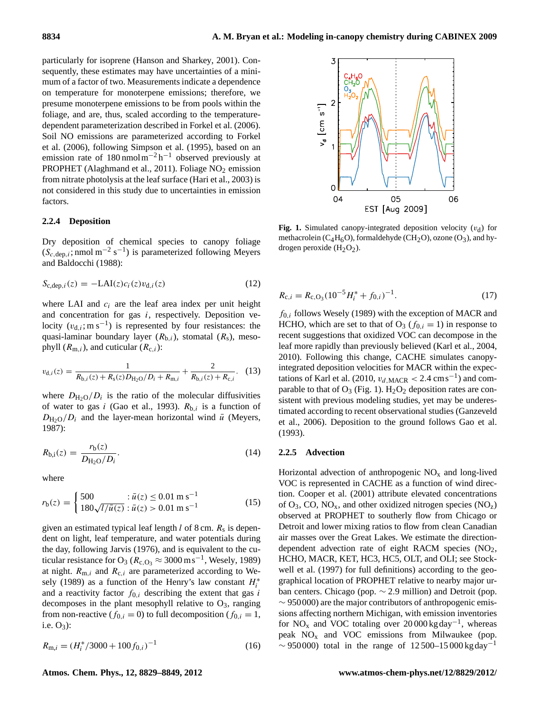particularly for isoprene [\(Hanson and Sharkey,](#page-18-15) [2001\)](#page-18-15). Consequently, these estimates may have uncertainties of a minimum of a factor of two. Measurements indicate a dependence on temperature for monoterpene emissions; therefore, we presume monoterpene emissions to be from pools within the foliage, and are, thus, scaled according to the temperaturedependent parameterization described in [Forkel et al.](#page-17-10) [\(2006\)](#page-17-10). Soil NO emissions are parameterized according to [Forkel](#page-17-10) [et al.](#page-17-10) [\(2006\)](#page-17-10), following [Simpson et al.](#page-19-20) [\(1995\)](#page-19-20), based on an emission rate of  $180 \text{ nmol m}^{-2} \text{h}^{-1}$  observed previously at PROPHET [\(Alaghmand et al.,](#page-16-5) [2011\)](#page-16-5). Foliage  $NO<sub>2</sub>$  emission from nitrate photolysis at the leaf surface [\(Hari et al.,](#page-18-16) [2003\)](#page-18-16) is not considered in this study due to uncertainties in emission factors.

#### **2.2.4 Deposition**

Dry deposition of chemical species to canopy foliage  $(S_{c,dep,i}; nmol m^{-2} s^{-1})$  is parameterized following [Meyers](#page-19-21) [and Baldocchi](#page-19-21) [\(1988\)](#page-19-21):

$$
S_{c,dep, i}(z) = -LAI(z)c_i(z)v_{d,i}(z)
$$
\n(12)

where LAI and  $c_i$  are the leaf area index per unit height and concentration for gas i, respectively. Deposition velocity  $(v_{d,i}; m s^{-1})$  is represented by four resistances: the quasi-laminar boundary layer  $(R_{b,i})$ , stomatal  $(R_s)$ , mesophyll  $(R_{m,i})$ , and cuticular  $(R_{c,i})$ :

$$
v_{d,i}(z) = \frac{1}{R_{b,i}(z) + R_s(z)D_{H_2O}/D_i + R_{m,i}} + \frac{2}{R_{b,i}(z) + R_{c,i}}.
$$
 (13)

where  $D_{\text{H}_2\text{O}}/D_i$  is the ratio of the molecular diffusivities of water to gas i [\(Gao et al.,](#page-17-9) [1993\)](#page-17-9).  $R_{b,i}$  is a function of  $D_{\text{H}_2\text{O}}/D_i$  and the layer-mean horizontal wind  $\bar{u}$  [\(Meyers,](#page-19-22) [1987\)](#page-19-22):

$$
R_{b,i}(z) = \frac{r_b(z)}{D_{\text{H}_2\text{O}}/D_i}.\tag{14}
$$

where

$$
r_{\rm b}(z) = \begin{cases} 500 & : \bar{u}(z) \le 0.01 \text{ m s}^{-1} \\ 180\sqrt{l/\bar{u}(z)} : \bar{u}(z) > 0.01 \text{ m s}^{-1} \end{cases}
$$
(15)

given an estimated typical leaf length  $l$  of 8 cm.  $R_s$  is dependent on light, leaf temperature, and water potentials during the day, following [Jarvis](#page-18-17) [\(1976\)](#page-18-17), and is equivalent to the cuticular resistance for O<sub>3</sub> ( $R_{c, O_3} \approx 3000 \,\mathrm{m s^{-1}}$ , [Wesely,](#page-20-6) [1989\)](#page-20-6) at night.  $R_{m,i}$  and  $R_{c,i}$  are parameterized according to [We](#page-20-6)[sely](#page-20-6) [\(1989\)](#page-20-6) as a function of the Henry's law constant  $H_i^*$ and a reactivity factor  $f_{0,i}$  describing the extent that gas i decomposes in the plant mesophyll relative to  $O_3$ , ranging from non-reactive ( $f_{0,i} = 0$ ) to full decomposition ( $f_{0,i} = 1$ , i.e.  $O_3$ :

$$
R_{\mathrm{m},i} = \left(H_i^* / 3000 + 100 f_{0,i}\right)^{-1} \tag{16}
$$



<span id="page-5-0"></span>**Fig. 1.** Simulated canopy-integrated deposition velocity  $(v_d)$  for methacrolein ( $C_4H_6O$ ), formaldehyde (CH<sub>2</sub>O), ozone (O<sub>3</sub>), and hydrogen peroxide  $(H_2O_2)$ .

$$
R_{c,i} = R_{c,O_3} (10^{-5} H_i^* + f_{0,i})^{-1}.
$$
 (17)

 $f_{0,i}$  follows [Wesely](#page-20-6) [\(1989\)](#page-20-6) with the exception of MACR and HCHO, which are set to that of  $O_3$  ( $f_{0,i} = 1$ ) in response to recent suggestions that oxidized VOC can decompose in the leaf more rapidly than previously believed [\(Karl et al.,](#page-18-18) [2004,](#page-18-18) [2010\)](#page-18-19). Following this change, CACHE simulates canopyintegrated deposition velocities for MACR within the expec-tations of [Karl et al.](#page-18-19) [\(2010,](#page-18-19)  $v_{d,\text{MACR}} < 2.4 \text{ cm s}^{-1}$ ) and comparable to that of  $O_3$  (Fig. [1\)](#page-5-0).  $H_2O_2$  deposition rates are consistent with previous modeling studies, yet may be underestimated according to recent observational studies [\(Ganzeveld](#page-17-11) [et al.,](#page-17-11) [2006\)](#page-17-11). Deposition to the ground follows [Gao et al.](#page-17-9) [\(1993\)](#page-17-9).

#### <span id="page-5-1"></span>**2.2.5 Advection**

Horizontal advection of anthropogenic  $NO<sub>x</sub>$  and long-lived VOC is represented in CACHE as a function of wind direction. [Cooper et al.](#page-17-19) [\(2001\)](#page-17-19) attribute elevated concentrations of  $O_3$ , CO, NO<sub>x</sub>, and other oxidized nitrogen species (NO<sub>z</sub>) observed at PROPHET to southerly flow from Chicago or Detroit and lower mixing ratios to flow from clean Canadian air masses over the Great Lakes. We estimate the directiondependent advection rate of eight RACM species (NO<sub>2</sub>, HCHO, MACR, KET, HC3, HC5, OLT, and OLI; see [Stock](#page-20-5)[well et al.](#page-20-5) [\(1997\)](#page-20-5) for full definitions) according to the geographical location of PROPHET relative to nearby major urban centers. Chicago (pop. ∼ 2.9 million) and Detroit (pop.  $\sim$  950000) are the major contributors of anthropogenic emissions affecting northern Michigan, with emission inventories for NO<sub>x</sub> and VOC totaling over 20 000 kg day<sup>-1</sup>, whereas peak  $NO<sub>x</sub>$  and VOC emissions from Milwaukee (pop.  $\sim$  950000) total in the range of 12500–15000 kgday<sup>-1</sup>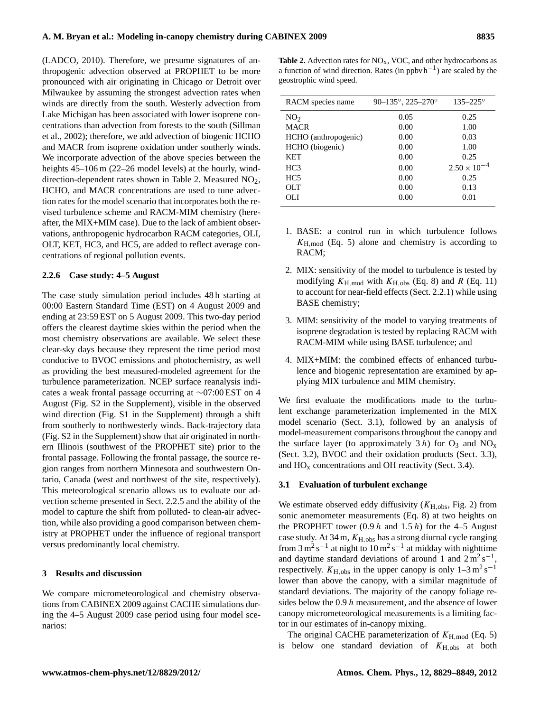[\(LADCO,](#page-18-20) [2010\)](#page-18-20). Therefore, we presume signatures of anthropogenic advection observed at PROPHET to be more pronounced with air originating in Chicago or Detroit over Milwaukee by assuming the strongest advection rates when winds are directly from the south. Westerly advection from Lake Michigan has been associated with lower isoprene concentrations than advection from forests to the south [\(Sillman](#page-19-10) [et al.,](#page-19-10) [2002\)](#page-19-10); therefore, we add advection of biogenic HCHO and MACR from isoprene oxidation under southerly winds. We incorporate advection of the above species between the heights  $45-106$  m (22–26 model levels) at the hourly, wind-direction-dependent rates shown in Table [2.](#page-6-1) Measured  $NO<sub>2</sub>$ , HCHO, and MACR concentrations are used to tune advection rates for the model scenario that incorporates both the revised turbulence scheme and RACM-MIM chemistry (hereafter, the MIX+MIM case). Due to the lack of ambient observations, anthropogenic hydrocarbon RACM categories, OLI, OLT, KET, HC3, and HC5, are added to reflect average concentrations of regional pollution events.

## <span id="page-6-2"></span>**2.2.6 Case study: 4–5 August**

The case study simulation period includes 48 h starting at 00:00 Eastern Standard Time (EST) on 4 August 2009 and ending at 23:59 EST on 5 August 2009. This two-day period offers the clearest daytime skies within the period when the most chemistry observations are available. We select these clear-sky days because they represent the time period most conducive to BVOC emissions and photochemistry, as well as providing the best measured-modeled agreement for the turbulence parameterization. NCEP surface reanalysis indicates a weak frontal passage occurring at ∼07:00 EST on 4 August (Fig. S2 in the Supplement), visible in the observed wind direction (Fig. S1 in the Supplement) through a shift from southerly to northwesterly winds. Back-trajectory data (Fig. S2 in the Supplement) show that air originated in northern Illinois (southwest of the PROPHET site) prior to the frontal passage. Following the frontal passage, the source region ranges from northern Minnesota and southwestern Ontario, Canada (west and northwest of the site, respectively). This meteorological scenario allows us to evaluate our advection scheme presented in Sect. [2.2.5](#page-5-1) and the ability of the model to capture the shift from polluted- to clean-air advection, while also providing a good comparison between chemistry at PROPHET under the influence of regional transport versus predominantly local chemistry.

#### **3 Results and discussion**

We compare micrometeorological and chemistry observations from CABINEX 2009 against CACHE simulations during the 4–5 August 2009 case period using four model scenarios:

<span id="page-6-1"></span>Table 2. Advection rates for NO<sub>x</sub>, VOC, and other hydrocarbons as a function of wind direction. Rates (in ppbvh<sup>-1</sup>) are scaled by the geostrophic wind speed.

| RACM species name    | $90 - 135^\circ$ , 225-270° | $135 - 225^{\circ}$   |
|----------------------|-----------------------------|-----------------------|
| NO <sub>2</sub>      | 0.05                        | 0.25                  |
| <b>MACR</b>          | 0.00                        | 1.00                  |
| HCHO (anthropogenic) | 0.00                        | 0.03                  |
| HCHO (biogenic)      | 0.00                        | 1.00                  |
| <b>KET</b>           | 0.00                        | 0.25                  |
| HC <sub>3</sub>      | 0.00                        | $2.50 \times 10^{-4}$ |
| HC <sub>5</sub>      | 0.00                        | 0.25                  |
| OLT                  | 0.00                        | 0.13                  |
| OЫ                   | 0.00                        | 0.01                  |

- 1. BASE: a control run in which turbulence follows  $K_{\text{H,mod}}$  (Eq. [5\)](#page-3-4) alone and chemistry is according to RACM;
- 2. MIX: sensitivity of the model to turbulence is tested by modifying  $K_{\text{H,mod}}$  with  $K_{\text{H,obs}}$  (Eq. [8\)](#page-3-6) and R (Eq. [11\)](#page-4-0) to account for near-field effects (Sect. [2.2.1\)](#page-3-2) while using BASE chemistry;
- 3. MIM: sensitivity of the model to varying treatments of isoprene degradation is tested by replacing RACM with RACM-MIM while using BASE turbulence; and
- 4. MIX+MIM: the combined effects of enhanced turbulence and biogenic representation are examined by applying MIX turbulence and MIM chemistry.

We first evaluate the modifications made to the turbulent exchange parameterization implemented in the MIX model scenario (Sect. [3.1\)](#page-6-0), followed by an analysis of model-measurement comparisons throughout the canopy and the surface layer (to approximately  $3 h$ ) for  $O_3$  and  $NO_x$ (Sect. [3.2\)](#page-8-0), BVOC and their oxidation products (Sect. [3.3\)](#page-9-0), and  $HO_x$  concentrations and OH reactivity (Sect. [3.4\)](#page-13-0).

# <span id="page-6-0"></span>**3.1 Evaluation of turbulent exchange**

We estimate observed eddy diffusivity  $(K_{\rm H,obs}, Fig. 2)$  $(K_{\rm H,obs}, Fig. 2)$  from sonic anemometer measurements (Eq. [8\)](#page-3-6) at two heights on the PROPHET tower  $(0.9 h$  and  $1.5 h$ ) for the 4–5 August case study. At 34 m,  $K_{\text{H,obs}}$  has a strong diurnal cycle ranging from  $3 \text{ m}^2 \text{ s}^{-1}$  at night to  $10 \text{ m}^2 \text{ s}^{-1}$  at midday with nighttime and daytime standard deviations of around 1 and  $2 \text{ m}^2 \text{ s}^{-1}$ , respectively.  $K_{\text{H,obs}}$  in the upper canopy is only  $1-3 \text{ m}^2 \text{ s}^{-1}$ lower than above the canopy, with a similar magnitude of standard deviations. The majority of the canopy foliage resides below the 0.9 h measurement, and the absence of lower canopy micrometeorological measurements is a limiting factor in our estimates of in-canopy mixing.

The original CACHE parameterization of  $K_{\text{H,mod}}$  (Eq. [5\)](#page-3-4) is below one standard deviation of  $K_{\text{H,obs}}$  at both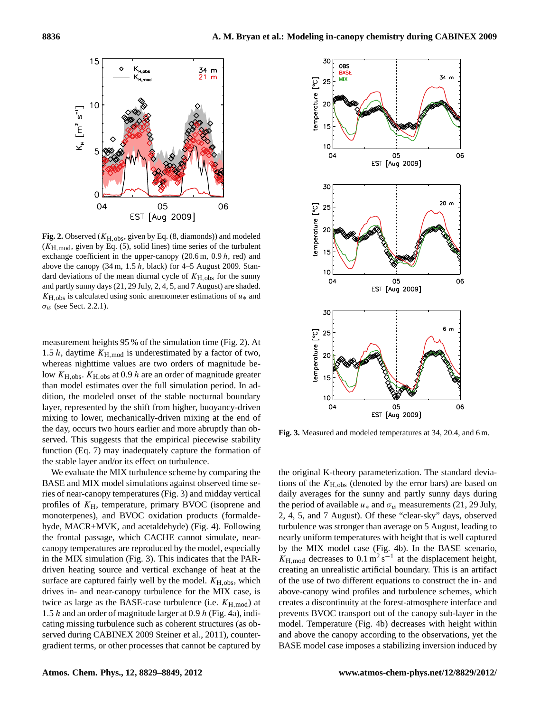

<span id="page-7-0"></span>**Fig. 2.** Observed ( $K_{\text{H.obs}}$ , given by Eq. [\(8,](#page-3-6) diamonds)) and modeled  $(K_{\text{H,mod}})$ , given by Eq. [\(5\)](#page-3-4), solid lines) time series of the turbulent exchange coefficient in the upper-canopy  $(20.6 \text{ m}, 0.9 h, \text{ red})$  and above the canopy  $(34 \text{ m}, 1.5 \text{ h}, \text{black})$  for 4–5 August 2009. Standard deviations of the mean diurnal cycle of  $K_{H,obs}$  for the sunny and partly sunny days (21, 29 July, 2, 4, 5, and 7 August) are shaded.  $K_{\text{H,obs}}$  is calculated using sonic anemometer estimations of  $u_*$  and  $\sigma_w$  (see Sect. [2.2.1\)](#page-3-2).

measurement heights 95 % of the simulation time (Fig. [2\)](#page-7-0). At 1.5 h, daytime  $K_{\text{H,mod}}$  is underestimated by a factor of two, whereas nighttime values are two orders of magnitude below  $K_{\text{H,obs}}$ .  $K_{\text{H,obs}}$  at 0.9 h are an order of magnitude greater than model estimates over the full simulation period. In addition, the modeled onset of the stable nocturnal boundary layer, represented by the shift from higher, buoyancy-driven mixing to lower, mechanically-driven mixing at the end of the day, occurs two hours earlier and more abruptly than observed. This suggests that the empirical piecewise stability function (Eq. [7\)](#page-3-5) may inadequately capture the formation of the stable layer and/or its effect on turbulence.

We evaluate the MIX turbulence scheme by comparing the BASE and MIX model simulations against observed time series of near-canopy temperatures (Fig. [3\)](#page-7-1) and midday vertical profiles of  $K_{\rm H}$ , temperature, primary BVOC (isoprene and monoterpenes), and BVOC oxidation products (formaldehyde, MACR+MVK, and acetaldehyde) (Fig. [4\)](#page-8-1). Following the frontal passage, which CACHE cannot simulate, nearcanopy temperatures are reproduced by the model, especially in the MIX simulation (Fig. [3\)](#page-7-1). This indicates that the PARdriven heating source and vertical exchange of heat at the surface are captured fairly well by the model.  $K_{\text{H.obs}}$ , which drives in- and near-canopy turbulence for the MIX case, is twice as large as the BASE-case turbulence (i.e.  $K_{\text{H-mod}}$ ) at 1.5 h and an order of magnitude larger at 0.9 h (Fig. [4a](#page-8-1)), indicating missing turbulence such as coherent structures (as observed during CABINEX 2009 [Steiner et al.,](#page-19-15) [2011\)](#page-19-15), countergradient terms, or other processes that cannot be captured by



<span id="page-7-1"></span>**Fig. 3.** Measured and modeled temperatures at 34, 20.4, and 6 m.

the original K-theory parameterization. The standard deviations of the  $K_{\rm H,obs}$  (denoted by the error bars) are based on daily averages for the sunny and partly sunny days during the period of available  $u_*$  and  $\sigma_w$  measurements (21, 29 July, 2, 4, 5, and 7 August). Of these "clear-sky" days, observed turbulence was stronger than average on 5 August, leading to nearly uniform temperatures with height that is well captured by the MIX model case (Fig. [4b](#page-8-1)). In the BASE scenario,  $K_{\text{H,mod}}$  decreases to 0.1 m<sup>2</sup> s<sup>-1</sup> at the displacement height, creating an unrealistic artificial boundary. This is an artifact of the use of two different equations to construct the in- and above-canopy wind profiles and turbulence schemes, which creates a discontinuity at the forest-atmosphere interface and prevents BVOC transport out of the canopy sub-layer in the model. Temperature (Fig. [4b](#page-8-1)) decreases with height within and above the canopy according to the observations, yet the BASE model case imposes a stabilizing inversion induced by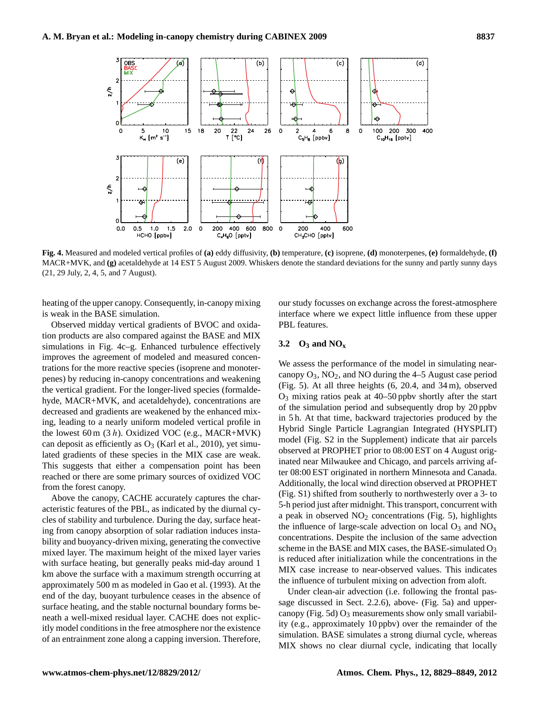

<span id="page-8-1"></span>**Fig. 4.** Measured and modeled vertical profiles of **(a)** eddy diffusivity, **(b)** temperature, **(c)** isoprene, **(d)** monoterpenes, **(e)** formaldehyde, **(f)** MACR+MVK, and **(g)** acetaldehyde at 14 EST 5 August 2009. Whiskers denote the standard deviations for the sunny and partly sunny days (21, 29 July, 2, 4, 5, and 7 August).

heating of the upper canopy. Consequently, in-canopy mixing is weak in the BASE simulation.

Observed midday vertical gradients of BVOC and oxidation products are also compared against the BASE and MIX simulations in Fig. [4c](#page-8-1)–g. Enhanced turbulence effectively improves the agreement of modeled and measured concentrations for the more reactive species (isoprene and monoterpenes) by reducing in-canopy concentrations and weakening the vertical gradient. For the longer-lived species (formaldehyde, MACR+MVK, and acetaldehyde), concentrations are decreased and gradients are weakened by the enhanced mixing, leading to a nearly uniform modeled vertical profile in the lowest 60 m  $(3 h)$ . Oxidized VOC (e.g., MACR+MVK) can deposit as efficiently as  $O_3$  [\(Karl et al.,](#page-18-19) [2010\)](#page-18-19), yet simulated gradients of these species in the MIX case are weak. This suggests that either a compensation point has been reached or there are some primary sources of oxidized VOC from the forest canopy.

Above the canopy, CACHE accurately captures the characteristic features of the PBL, as indicated by the diurnal cycles of stability and turbulence. During the day, surface heating from canopy absorption of solar radiation induces instability and buoyancy-driven mixing, generating the convective mixed layer. The maximum height of the mixed layer varies with surface heating, but generally peaks mid-day around 1 km above the surface with a maximum strength occurring at approximately 500 m as modeled in [Gao et al.](#page-17-9) [\(1993\)](#page-17-9). At the end of the day, buoyant turbulence ceases in the absence of surface heating, and the stable nocturnal boundary forms beneath a well-mixed residual layer. CACHE does not explicitly model conditions in the free atmosphere nor the existence of an entrainment zone along a capping inversion. Therefore,

our study focusses on exchange across the forest-atmosphere interface where we expect little influence from these upper PBL features.

# <span id="page-8-0"></span>**3.2 O<sup>3</sup> and NO<sup>x</sup>**

We assess the performance of the model in simulating nearcanopy  $O_3$ ,  $NO_2$ , and NO during the 4–5 August case period (Fig. [5\)](#page-9-1). At all three heights (6, 20.4, and 34 m), observed  $O_3$  mixing ratios peak at 40–50 ppby shortly after the start of the simulation period and subsequently drop by 20 ppbv in 5 h. At that time, backward trajectories produced by the Hybrid Single Particle Lagrangian Integrated (HYSPLIT) model (Fig. S2 in the Supplement) indicate that air parcels observed at PROPHET prior to 08:00 EST on 4 August originated near Milwaukee and Chicago, and parcels arriving after 08:00 EST originated in northern Minnesota and Canada. Additionally, the local wind direction observed at PROPHET (Fig. S1) shifted from southerly to northwesterly over a 3- to 5-h period just after midnight. This transport, concurrent with a peak in observed  $NO<sub>2</sub>$  concentrations (Fig. [5\)](#page-9-1), highlights the influence of large-scale advection on local  $O_3$  and  $NO_x$ concentrations. Despite the inclusion of the same advection scheme in the BASE and MIX cases, the BASE-simulated  $O_3$ is reduced after initialization while the concentrations in the MIX case increase to near-observed values. This indicates the influence of turbulent mixing on advection from aloft.

Under clean-air advection (i.e. following the frontal passage discussed in Sect. [2.2.6\)](#page-6-2), above- (Fig. [5a](#page-9-1)) and upper-canopy (Fig. [5d](#page-9-1))  $O_3$  measurements show only small variability (e.g., approximately 10 ppbv) over the remainder of the simulation. BASE simulates a strong diurnal cycle, whereas MIX shows no clear diurnal cycle, indicating that locally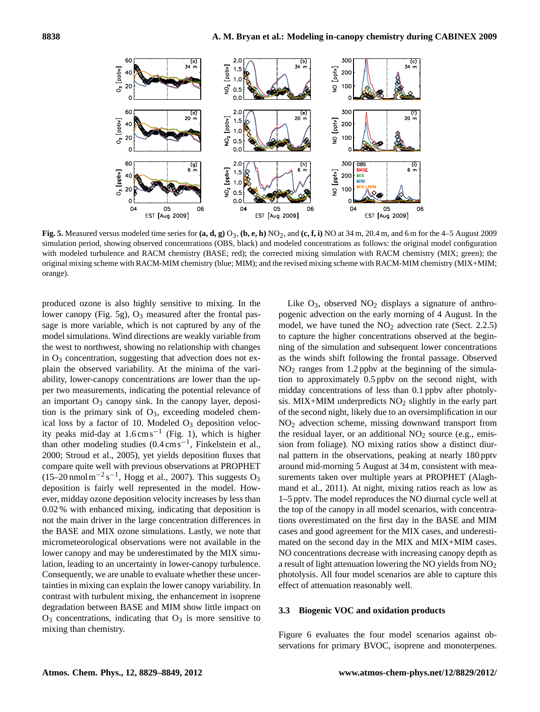

<span id="page-9-1"></span>**Fig. 5.** Measured versus modeled time series for  $(a, d, g)$  O<sub>3</sub>,  $(b, e, h)$  NO<sub>2</sub>, and  $(c, f, i)$  NO at 34 m, 20.4 m, and 6 m for the 4–5 August 2009 simulation period, showing observed concentrations (OBS, black) and modeled concentrations as follows: the original model configuration with modeled turbulence and RACM chemistry (BASE; red); the corrected mixing simulation with RACM chemistry (MIX; green); the original mixing scheme with RACM-MIM chemistry (blue; MIM); and the revised mixing scheme with RACM-MIM chemistry (MIX+MIM; orange).

produced ozone is also highly sensitive to mixing. In the lower canopy (Fig. [5g](#page-9-1)),  $O_3$  measured after the frontal passage is more variable, which is not captured by any of the model simulations. Wind directions are weakly variable from the west to northwest, showing no relationship with changes in  $O<sub>3</sub>$  concentration, suggesting that advection does not explain the observed variability. At the minima of the variability, lower-canopy concentrations are lower than the upper two measurements, indicating the potential relevance of an important  $O_3$  canopy sink. In the canopy layer, deposition is the primary sink of  $O_3$ , exceeding modeled chemical loss by a factor of 10. Modeled  $O<sub>3</sub>$  deposition velocity peaks mid-day at 1.6 cms−<sup>1</sup> (Fig. [1\)](#page-5-0), which is higher than other modeling studies (0.4 cms−<sup>1</sup> , [Finkelstein et al.,](#page-17-20) [2000;](#page-17-20) [Stroud et al.,](#page-20-1) [2005\)](#page-20-1), yet yields deposition fluxes that compare quite well with previous observations at PROPHET  $(15-20 \text{ nmol m}^{-2} \text{ s}^{-1}$ , [Hogg et al.,](#page-18-21) [2007\)](#page-18-21). This suggests O<sub>3</sub> deposition is fairly well represented in the model. However, midday ozone deposition velocity increases by less than 0.02 % with enhanced mixing, indicating that deposition is not the main driver in the large concentration differences in the BASE and MIX ozone simulations. Lastly, we note that micrometeorological observations were not available in the lower canopy and may be underestimated by the MIX simulation, leading to an uncertainty in lower-canopy turbulence. Consequently, we are unable to evaluate whether these uncertainties in mixing can explain the lower canopy variability. In contrast with turbulent mixing, the enhancement in isoprene degradation between BASE and MIM show little impact on  $O_3$  concentrations, indicating that  $O_3$  is more sensitive to mixing than chemistry.

Like  $O_3$ , observed  $NO_2$  displays a signature of anthropogenic advection on the early morning of 4 August. In the model, we have tuned the  $NO<sub>2</sub>$  advection rate (Sect. [2.2.5\)](#page-5-1) to capture the higher concentrations observed at the beginning of the simulation and subsequent lower concentrations as the winds shift following the frontal passage. Observed  $NO<sub>2</sub>$  ranges from 1.2 ppbv at the beginning of the simulation to approximately 0.5 ppbv on the second night, with midday concentrations of less than 0.1 ppbv after photolysis. MIX+MIM underpredicts  $NO<sub>2</sub>$  slightly in the early part of the second night, likely due to an oversimplification in our NO<sup>2</sup> advection scheme, missing downward transport from the residual layer, or an additional  $NO<sub>2</sub>$  source (e.g., emission from foliage). NO mixing ratios show a distinct diurnal pattern in the observations, peaking at nearly 180 pptv around mid-morning 5 August at 34 m, consistent with measurements taken over multiple years at PROPHET [\(Alagh](#page-16-5)[mand et al.,](#page-16-5) [2011\)](#page-16-5). At night, mixing ratios reach as low as 1–5 pptv. The model reproduces the NO diurnal cycle well at the top of the canopy in all model scenarios, with concentrations overestimated on the first day in the BASE and MIM cases and good agreement for the MIX cases, and underestimated on the second day in the MIX and MIX+MIM cases. NO concentrations decrease with increasing canopy depth as a result of light attenuation lowering the NO yields from  $NO<sub>2</sub>$ photolysis. All four model scenarios are able to capture this effect of attenuation reasonably well.

#### <span id="page-9-0"></span>**3.3 Biogenic VOC and oxidation products**

Figure [6](#page-10-0) evaluates the four model scenarios against observations for primary BVOC, isoprene and monoterpenes.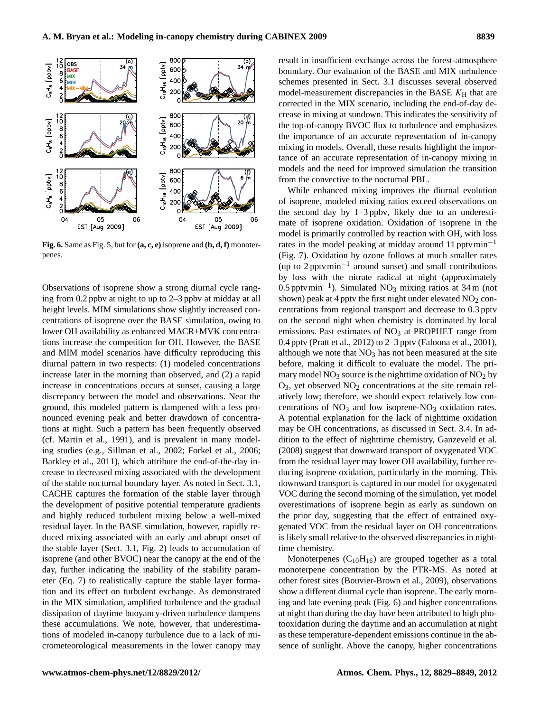

<span id="page-10-0"></span>**Fig. 6.** Same as Fig. [5,](#page-9-1) but for **(a, c, e)** isoprene and **(b, d, f)** monoterpenes.

Observations of isoprene show a strong diurnal cycle ranging from 0.2 ppbv at night to up to 2–3 ppbv at midday at all height levels. MIM simulations show slightly increased concentrations of isoprene over the BASE simulation, owing to lower OH availability as enhanced MACR+MVK concentrations increase the competition for OH. However, the BASE and MIM model scenarios have difficulty reproducing this diurnal pattern in two respects: (1) modeled concentrations increase later in the morning than observed, and (2) a rapid increase in concentrations occurs at sunset, causing a large discrepancy between the model and observations. Near the ground, this modeled pattern is dampened with a less pronounced evening peak and better drawdown of concentrations at night. Such a pattern has been frequently observed (cf. [Martin et al.,](#page-18-22) [1991\)](#page-18-22), and is prevalent in many modeling studies (e.g., [Sillman et al.,](#page-19-10) [2002;](#page-19-10) [Forkel et al.,](#page-17-10) [2006;](#page-17-10) [Barkley et al.,](#page-16-0) [2011\)](#page-16-0), which attribute the end-of-the-day increase to decreased mixing associated with the development of the stable nocturnal boundary layer. As noted in Sect. [3.1,](#page-6-0) CACHE captures the formation of the stable layer through the development of positive potential temperature gradients and highly reduced turbulent mixing below a well-mixed residual layer. In the BASE simulation, however, rapidly reduced mixing associated with an early and abrupt onset of the stable layer (Sect. [3.1,](#page-6-0) Fig. [2\)](#page-7-0) leads to accumulation of isoprene (and other BVOC) near the canopy at the end of the day, further indicating the inability of the stability parameter (Eq. [7\)](#page-3-5) to realistically capture the stable layer formation and its effect on turbulent exchange. As demonstrated in the MIX simulation, amplified turbulence and the gradual dissipation of daytime buoyancy-driven turbulence dampens these accumulations. We note, however, that underestimations of modeled in-canopy turbulence due to a lack of micrometeorological measurements in the lower canopy may result in insufficient exchange across the forest-atmosphere boundary. Our evaluation of the BASE and MIX turbulence schemes presented in Sect. [3.1](#page-6-0) discusses several observed model-measurement discrepancies in the BASE  $K_H$  that are corrected in the MIX scenario, including the end-of-day decrease in mixing at sundown. This indicates the sensitivity of the top-of-canopy BVOC flux to turbulence and emphasizes the importance of an accurate representation of in-canopy mixing in models. Overall, these results highlight the importance of an accurate representation of in-canopy mixing in models and the need for improved simulation the transition from the convective to the nocturnal PBL.

While enhanced mixing improves the diurnal evolution of isoprene, modeled mixing ratios exceed observations on the second day by 1–3 ppbv, likely due to an underestimate of isoprene oxidation. Oxidation of isoprene in the model is primarily controlled by reaction with OH, with loss rates in the model peaking at midday around 11 pptvmin−<sup>1</sup> (Fig. [7\)](#page-11-0). Oxidation by ozone follows at much smaller rates (up to 2 pptvmin−<sup>1</sup> around sunset) and small contributions by loss with the nitrate radical at night (approximately 0.5 pptvmin−<sup>1</sup> ). Simulated NO<sup>3</sup> mixing ratios at 34 m (not shown) peak at 4 pptv the first night under elevated  $NO<sub>2</sub>$  concentrations from regional transport and decrease to 0.3 pptv on the second night when chemistry is dominated by local emissions. Past estimates of  $NO<sub>3</sub>$  at PROPHET range from 0.4 pptv [\(Pratt et al.,](#page-19-23) [2012\)](#page-19-23) to 2–3 pptv [\(Faloona et al.,](#page-17-13) [2001\)](#page-17-13), although we note that  $NO<sub>3</sub>$  has not been measured at the site before, making it difficult to evaluate the model. The primary model  $NO<sub>3</sub>$  source is the nighttime oxidation of  $NO<sub>2</sub>$  by  $O_3$ , yet observed  $NO_2$  concentrations at the site remain relatively low; therefore, we should expect relatively low concentrations of  $NO<sub>3</sub>$  and low isoprene- $NO<sub>3</sub>$  oxidation rates. A potential explanation for the lack of nighttime oxidation may be OH concentrations, as discussed in Sect. [3.4.](#page-13-0) In addition to the effect of nighttime chemistry, [Ganzeveld et al.](#page-17-21) [\(2008\)](#page-17-21) suggest that downward transport of oxygenated VOC from the residual layer may lower OH availability, further reducing isoprene oxidation, particularly in the morning. This downward transport is captured in our model for oxygenated VOC during the second morning of the simulation, yet model overestimations of isoprene begin as early as sundown on the prior day, suggesting that the effect of entrained oxygenated VOC from the residual layer on OH concentrations is likely small relative to the observed discrepancies in nighttime chemistry.

Monoterpenes  $(C_{10}H_{16})$  are grouped together as a total monoterpene concentration by the PTR-MS. As noted at other forest sites [\(Bouvier-Brown et al.,](#page-17-22) [2009\)](#page-17-22), observations show a different diurnal cycle than isoprene. The early morning and late evening peak (Fig. [6\)](#page-10-0) and higher concentrations at night than during the day have been attributed to high photooxidation during the daytime and an accumulation at night as these temperature-dependent emissions continue in the absence of sunlight. Above the canopy, higher concentrations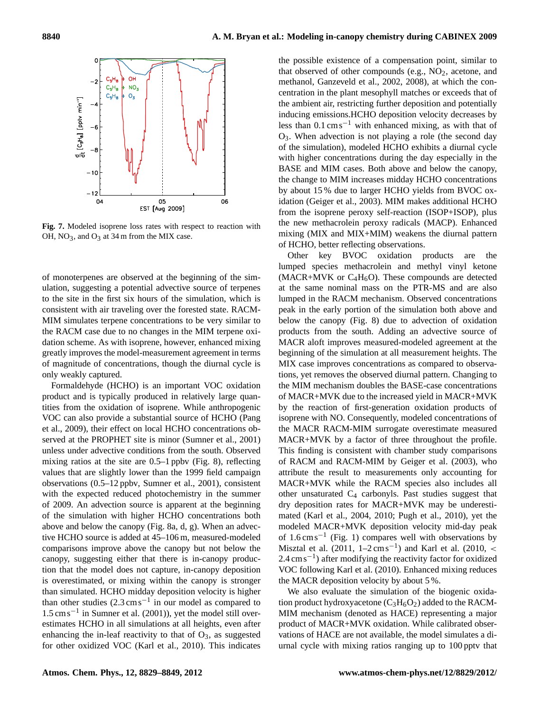

<span id="page-11-0"></span>**Fig. 7.** Modeled isoprene loss rates with respect to reaction with OH,  $NO_3$ , and  $O_3$  at 34 m from the MIX case.

of monoterpenes are observed at the beginning of the simulation, suggesting a potential advective source of terpenes to the site in the first six hours of the simulation, which is consistent with air traveling over the forested state. RACM-MIM simulates terpene concentrations to be very similar to the RACM case due to no changes in the MIM terpene oxidation scheme. As with isoprene, however, enhanced mixing greatly improves the model-measurement agreement in terms of magnitude of concentrations, though the diurnal cycle is only weakly captured.

Formaldehyde (HCHO) is an important VOC oxidation product and is typically produced in relatively large quantities from the oxidation of isoprene. While anthropogenic VOC can also provide a substantial source of HCHO [\(Pang](#page-19-24) [et al.,](#page-19-24) [2009\)](#page-19-24), their effect on local HCHO concentrations observed at the PROPHET site is minor [\(Sumner et al.,](#page-20-7) [2001\)](#page-20-7) unless under advective conditions from the south. Observed mixing ratios at the site are 0.5–1 ppbv (Fig. [8\)](#page-12-0), reflecting values that are slightly lower than the 1999 field campaign observations (0.5–12 ppbv, [Sumner et al.,](#page-20-7) [2001\)](#page-20-7), consistent with the expected reduced photochemistry in the summer of 2009. An advection source is apparent at the beginning of the simulation with higher HCHO concentrations both above and below the canopy (Fig. [8a](#page-12-0), d, g). When an advective HCHO source is added at 45–106 m, measured-modeled comparisons improve above the canopy but not below the canopy, suggesting either that there is in-canopy production that the model does not capture, in-canopy deposition is overestimated, or mixing within the canopy is stronger than simulated. HCHO midday deposition velocity is higher than other studies  $(2.3 \text{ cm s}^{-1})$  in our model as compared to 1.5 cms−<sup>1</sup> in [Sumner et al.](#page-20-7) [\(2001\)](#page-20-7)), yet the model still overestimates HCHO in all simulations at all heights, even after enhancing the in-leaf reactivity to that of  $O_3$ , as suggested for other oxidized VOC [\(Karl et al.,](#page-18-19) [2010\)](#page-18-19). This indicates the possible existence of a compensation point, similar to that observed of other compounds (e.g.,  $NO<sub>2</sub>$ , acetone, and methanol, [Ganzeveld et al.,](#page-17-23) [2002,](#page-17-23) [2008\)](#page-17-21), at which the concentration in the plant mesophyll matches or exceeds that of the ambient air, restricting further deposition and potentially inducing emissions.HCHO deposition velocity decreases by less than 0.1 cms−<sup>1</sup> with enhanced mixing, as with that of O3. When advection is not playing a role (the second day of the simulation), modeled HCHO exhibits a diurnal cycle with higher concentrations during the day especially in the BASE and MIM cases. Both above and below the canopy, the change to MIM increases midday HCHO concentrations by about 15 % due to larger HCHO yields from BVOC oxidation [\(Geiger et al.,](#page-17-18) [2003\)](#page-17-18). MIM makes additional HCHO from the isoprene peroxy self-reaction (ISOP+ISOP), plus the new methacrolein peroxy radicals (MACP). Enhanced mixing (MIX and MIX+MIM) weakens the diurnal pattern of HCHO, better reflecting observations.

Other key BVOC oxidation products are the lumped species methacrolein and methyl vinyl ketone (MACR+MVK or  $C_4H_6O$ ). These compounds are detected at the same nominal mass on the PTR-MS and are also lumped in the RACM mechanism. Observed concentrations peak in the early portion of the simulation both above and below the canopy (Fig. [8\)](#page-12-0) due to advection of oxidation products from the south. Adding an advective source of MACR aloft improves measured-modeled agreement at the beginning of the simulation at all measurement heights. The MIX case improves concentrations as compared to observations, yet removes the observed diurnal pattern. Changing to the MIM mechanism doubles the BASE-case concentrations of MACR+MVK due to the increased yield in MACR+MVK by the reaction of first-generation oxidation products of isoprene with NO. Consequently, modeled concentrations of the MACR RACM-MIM surrogate overestimate measured MACR+MVK by a factor of three throughout the profile. This finding is consistent with chamber study comparisons of RACM and RACM-MIM by [Geiger et al.](#page-17-18) [\(2003\)](#page-17-18), who attribute the result to measurements only accounting for MACR+MVK while the RACM species also includes all other unsaturated  $C_4$  carbonyls. Past studies suggest that dry deposition rates for MACR+MVK may be underestimated [\(Karl et al.,](#page-18-18) [2004,](#page-18-18) [2010;](#page-18-19) [Pugh et al.,](#page-19-2) [2010\)](#page-19-2), yet the modeled MACR+MVK deposition velocity mid-day peak of 1.6 cms−<sup>1</sup> (Fig. [1\)](#page-5-0) compares well with observations by [Misztal et al.](#page-19-25)  $(2011, 1 - 2 \text{ cm s}^{-1})$  $(2011, 1 - 2 \text{ cm s}^{-1})$  and [Karl et al.](#page-18-19)  $(2010, \leq$  $(2010, \leq$ 2.4 cm s<sup>-1</sup>) after modifying the reactivity factor for oxidized VOC following [Karl et al.](#page-18-19) [\(2010\)](#page-18-19). Enhanced mixing reduces the MACR deposition velocity by about 5 %.

We also evaluate the simulation of the biogenic oxidation product hydroxyacetone  $(C_3H_6O_2)$  added to the RACM-MIM mechanism (denoted as HACE) representing a major product of MACR+MVK oxidation. While calibrated observations of HACE are not available, the model simulates a diurnal cycle with mixing ratios ranging up to 100 pptv that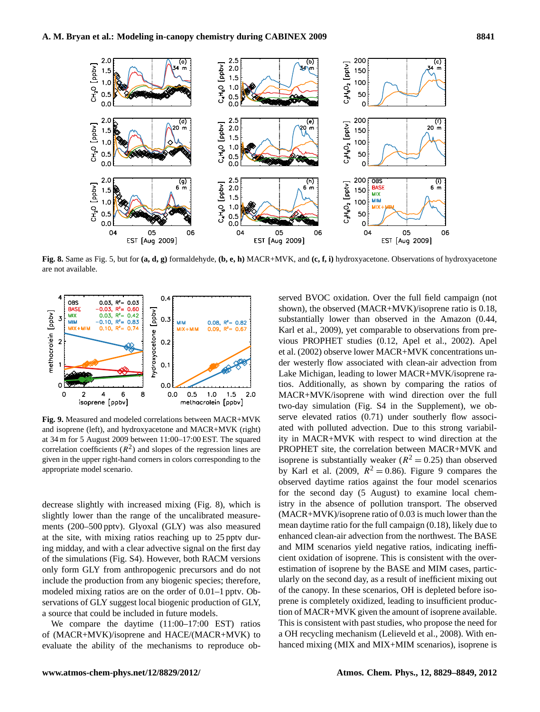

<span id="page-12-0"></span>**Fig. 8.** Same as Fig. [5,](#page-9-1) but for **(a, d, g)** formaldehyde, **(b, e, h)** MACR+MVK, and **(c, f, i)** hydroxyacetone. Observations of hydroxyacetone are not available.



<span id="page-12-1"></span>**Fig. 9.** Measured and modeled correlations between MACR+MVK and isoprene (left), and hydroxyacetone and MACR+MVK (right) at 34 m for 5 August 2009 between 11:00–17:00 EST. The squared correlation coefficients  $(R^2)$  and slopes of the regression lines are given in the upper right-hand corners in colors corresponding to the appropriate model scenario.

decrease slightly with increased mixing (Fig. [8\)](#page-12-0), which is slightly lower than the range of the uncalibrated measurements (200–500 pptv). Glyoxal (GLY) was also measured at the site, with mixing ratios reaching up to 25 pptv during midday, and with a clear advective signal on the first day of the simulations (Fig. S4). However, both RACM versions only form GLY from anthropogenic precursors and do not include the production from any biogenic species; therefore, modeled mixing ratios are on the order of 0.01–1 pptv. Observations of GLY suggest local biogenic production of GLY, a source that could be included in future models.

We compare the daytime (11:00–17:00 EST) ratios of (MACR+MVK)/isoprene and HACE/(MACR+MVK) to evaluate the ability of the mechanisms to reproduce observed BVOC oxidation. Over the full field campaign (not shown), the observed (MACR+MVK)/isoprene ratio is 0.18, substantially lower than observed in the Amazon (0.44, [Karl et al.,](#page-18-5) [2009\)](#page-18-5), yet comparable to observations from previous PROPHET studies (0.12, [Apel et al.,](#page-16-6) [2002\)](#page-16-6). [Apel](#page-16-6) [et al.](#page-16-6) [\(2002\)](#page-16-6) observe lower MACR+MVK concentrations under westerly flow associated with clean-air advection from Lake Michigan, leading to lower MACR+MVK/isoprene ratios. Additionally, as shown by comparing the ratios of MACR+MVK/isoprene with wind direction over the full two-day simulation (Fig. S4 in the Supplement), we observe elevated ratios  $(0.71)$  under southerly flow associated with polluted advection. Due to this strong variability in MACR+MVK with respect to wind direction at the PROPHET site, the correlation between MACR+MVK and isoprene is substantially weaker ( $R^2 = 0.25$ ) than observed by [Karl et al.](#page-18-5) [\(2009,](#page-18-5)  $R^2 = 0.86$ ). Figure [9](#page-12-1) compares the observed daytime ratios against the four model scenarios for the second day (5 August) to examine local chemistry in the absence of pollution transport. The observed (MACR+MVK)/isoprene ratio of 0.03 is much lower than the mean daytime ratio for the full campaign (0.18), likely due to enhanced clean-air advection from the northwest. The BASE and MIM scenarios yield negative ratios, indicating inefficient oxidation of isoprene. This is consistent with the overestimation of isoprene by the BASE and MIM cases, particularly on the second day, as a result of inefficient mixing out of the canopy. In these scenarios, OH is depleted before isoprene is completely oxidized, leading to insufficient production of MACR+MVK given the amount of isoprene available. This is consistent with past studies, who propose the need for a OH recycling mechanism [\(Lelieveld et al.,](#page-18-0) [2008\)](#page-18-0). With enhanced mixing (MIX and MIX+MIM scenarios), isoprene is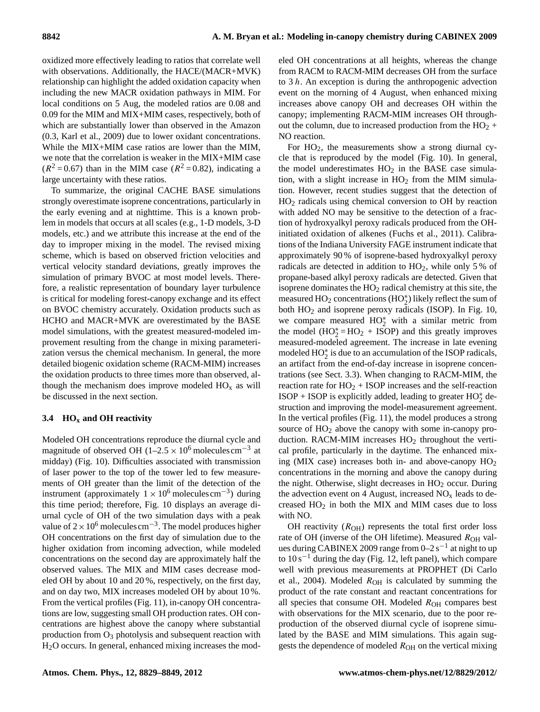oxidized more effectively leading to ratios that correlate well with observations. Additionally, the HACE/(MACR+MVK) relationship can highlight the added oxidation capacity when including the new MACR oxidation pathways in MIM. For local conditions on 5 Aug, the modeled ratios are 0.08 and 0.09 for the MIM and MIX+MIM cases, respectively, both of which are substantially lower than observed in the Amazon (0.3, [Karl et al.,](#page-18-5) [2009\)](#page-18-5) due to lower oxidant concentrations. While the MIX+MIM case ratios are lower than the MIM, we note that the correlation is weaker in the MIX+MIM case  $(R^2 = 0.67)$  than in the MIM case  $(R^2 = 0.82)$ , indicating a large uncertainty with these ratios.

To summarize, the original CACHE BASE simulations strongly overestimate isoprene concentrations, particularly in the early evening and at nighttime. This is a known problem in models that occurs at all scales (e.g., 1-D models, 3-D models, etc.) and we attribute this increase at the end of the day to improper mixing in the model. The revised mixing scheme, which is based on observed friction velocities and vertical velocity standard deviations, greatly improves the simulation of primary BVOC at most model levels. Therefore, a realistic representation of boundary layer turbulence is critical for modeling forest-canopy exchange and its effect on BVOC chemistry accurately. Oxidation products such as HCHO and MACR+MVK are overestimated by the BASE model simulations, with the greatest measured-modeled improvement resulting from the change in mixing parameterization versus the chemical mechanism. In general, the more detailed biogenic oxidation scheme (RACM-MIM) increases the oxidation products to three times more than observed, although the mechanism does improve modeled  $HO<sub>x</sub>$  as will be discussed in the next section.

# <span id="page-13-0"></span>**3.4 HO<sup>x</sup> and OH reactivity**

Modeled OH concentrations reproduce the diurnal cycle and magnitude of observed OH (1–2.5  $\times$  10<sup>6</sup> molecules cm<sup>-3</sup> at midday) (Fig. [10\)](#page-14-0). Difficulties associated with transmission of laser power to the top of the tower led to few measurements of OH greater than the limit of the detection of the instrument (approximately  $1 \times 10^6$  molecules cm<sup>-3</sup>) during this time period; therefore, Fig. [10](#page-14-0) displays an average diurnal cycle of OH of the two simulation days with a peak value of  $2 \times 10^6$  molecules cm<sup>-3</sup>. The model produces higher OH concentrations on the first day of simulation due to the higher oxidation from incoming advection, while modeled concentrations on the second day are approximately half the observed values. The MIX and MIM cases decrease modeled OH by about 10 and 20 %, respectively, on the first day, and on day two, MIX increases modeled OH by about 10 %. From the vertical profiles (Fig. [11\)](#page-14-1), in-canopy OH concentrations are low, suggesting small OH production rates. OH concentrations are highest above the canopy where substantial production from  $O_3$  photolysis and subsequent reaction with H2O occurs. In general, enhanced mixing increases the modeled OH concentrations at all heights, whereas the change from RACM to RACM-MIM decreases OH from the surface to  $3 h$ . An exception is during the anthropogenic advection event on the morning of 4 August, when enhanced mixing increases above canopy OH and decreases OH within the canopy; implementing RACM-MIM increases OH throughout the column, due to increased production from the  $HO<sub>2</sub>$  + NO reaction.

For  $HO<sub>2</sub>$ , the measurements show a strong diurnal cycle that is reproduced by the model (Fig. [10\)](#page-14-0). In general, the model underestimates  $HO<sub>2</sub>$  in the BASE case simulation, with a slight increase in  $HO<sub>2</sub>$  from the MIM simulation. However, recent studies suggest that the detection of  $HO<sub>2</sub>$  radicals using chemical conversion to OH by reaction with added NO may be sensitive to the detection of a fraction of hydroxyalkyl peroxy radicals produced from the OHinitiated oxidation of alkenes [\(Fuchs et al.,](#page-17-24) [2011\)](#page-17-24). Calibrations of the Indiana University FAGE instrument indicate that approximately 90 % of isoprene-based hydroxyalkyl peroxy radicals are detected in addition to  $HO<sub>2</sub>$ , while only 5% of propane-based alkyl peroxy radicals are detected. Given that isoprene dominates the  $HO<sub>2</sub>$  radical chemistry at this site, the measured  $HO_2$  concentrations ( $HO_2^*$ ) likely reflect the sum of both  $HO<sub>2</sub>$  and isoprene peroxy radicals (ISOP). In Fig. [10,](#page-14-0) we compare measured  $HO_2^*$  with a similar metric from the model  $(HO_2^* = HO_2 + ISOP)$  and this greatly improves measured-modeled agreement. The increase in late evening modeled  $HO_2^*$  is due to an accumulation of the ISOP radicals, an artifact from the end-of-day increase in isoprene concentrations (see Sect. [3.3\)](#page-9-0). When changing to RACM-MIM, the reaction rate for  $HO<sub>2</sub> + ISOP$  increases and the self-reaction ISOP + ISOP is explicitly added, leading to greater  $HO_2^*$  destruction and improving the model-measurement agreement. In the vertical profiles (Fig. [11\)](#page-14-1), the model produces a strong source of  $HO<sub>2</sub>$  above the canopy with some in-canopy production. RACM-MIM increases  $HO<sub>2</sub>$  throughout the vertical profile, particularly in the daytime. The enhanced mixing (MIX case) increases both in- and above-canopy  $HO<sub>2</sub>$ concentrations in the morning and above the canopy during the night. Otherwise, slight decreases in  $HO<sub>2</sub>$  occur. During the advection event on 4 August, increased  $NO<sub>x</sub>$  leads to decreased  $HO<sub>2</sub>$  in both the MIX and MIM cases due to loss with NO.

OH reactivity  $(R<sub>OH</sub>)$  represents the total first order loss rate of OH (inverse of the OH lifetime). Measured  $R_{OH}$  values during CABINEX 2009 range from 0–2 s<sup>-1</sup> at night to up to  $10 s^{-1}$  during the day (Fig. [12,](#page-15-0) left panel), which compare well with previous measurements at PROPHET [\(Di Carlo](#page-17-14) [et al.,](#page-17-14) [2004\)](#page-17-14). Modeled  $R_{OH}$  is calculated by summing the product of the rate constant and reactant concentrations for all species that consume OH. Modeled  $R_{OH}$  compares best with observations for the MIX scenario, due to the poor reproduction of the observed diurnal cycle of isoprene simulated by the BASE and MIM simulations. This again suggests the dependence of modeled  $R_{OH}$  on the vertical mixing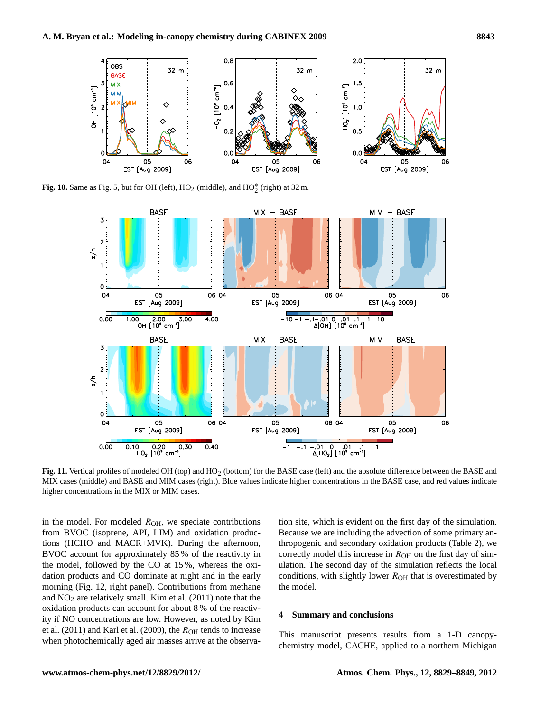

**Fig. 10.** Same as Fig. [5,](#page-9-1) but for OH (left),  $HO_2$  (middle), and  $HO_2^*$  (right) at 32 m.

<span id="page-14-0"></span>

<span id="page-14-1"></span>Fig. 11. Vertical profiles of modeled OH (top) and HO<sub>2</sub> (bottom) for the BASE case (left) and the absolute difference between the BASE and MIX cases (middle) and BASE and MIM cases (right). Blue values indicate higher concentrations in the BASE case, and red values indicate higher concentrations in the MIX or MIM cases.

in the model. For modeled  $R_{OH}$ , we speciate contributions from BVOC (isoprene, API, LIM) and oxidation productions (HCHO and MACR+MVK). During the afternoon, BVOC account for approximately 85 % of the reactivity in the model, followed by the CO at 15 %, whereas the oxidation products and CO dominate at night and in the early morning (Fig. [12,](#page-15-0) right panel). Contributions from methane and  $NO<sub>2</sub>$  are relatively small. [Kim et al.](#page-18-11) [\(2011\)](#page-18-11) note that the oxidation products can account for about 8 % of the reactivity if NO concentrations are low. However, as noted by [Kim](#page-18-11) [et al.](#page-18-11) [\(2011\)](#page-18-11) and [Karl et al.](#page-18-5) [\(2009\)](#page-18-5), the  $R_{OH}$  tends to increase when photochemically aged air masses arrive at the observation site, which is evident on the first day of the simulation. Because we are including the advection of some primary anthropogenic and secondary oxidation products (Table [2\)](#page-6-1), we correctly model this increase in  $R<sub>OH</sub>$  on the first day of simulation. The second day of the simulation reflects the local conditions, with slightly lower  $R<sub>OH</sub>$  that is overestimated by the model.

## **4 Summary and conclusions**

This manuscript presents results from a 1-D canopychemistry model, CACHE, applied to a northern Michigan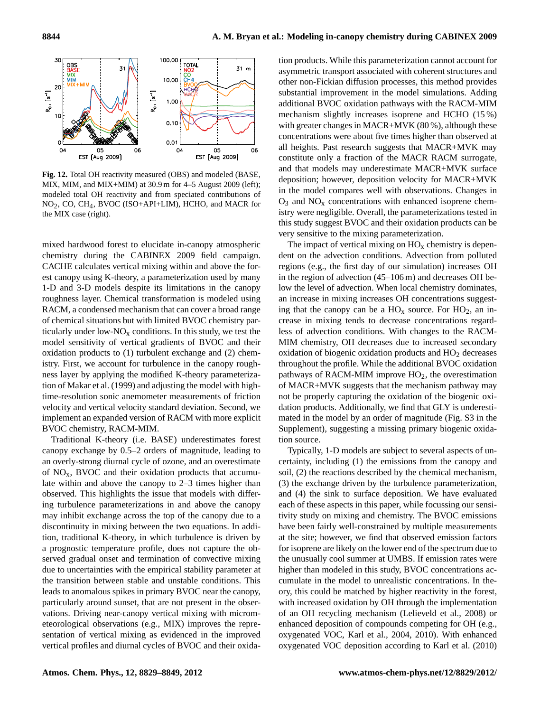

<span id="page-15-0"></span>**Fig. 12.** Total OH reactivity measured (OBS) and modeled (BASE, MIX, MIM, and MIX+MIM) at 30.9 m for 4–5 August 2009 (left); modeled total OH reactivity and from speciated contributions of NO2, CO, CH4, BVOC (ISO+API+LIM), HCHO, and MACR for the MIX case (right).

mixed hardwood forest to elucidate in-canopy atmospheric chemistry during the CABINEX 2009 field campaign. CACHE calculates vertical mixing within and above the forest canopy using K-theory, a parameterization used by many 1-D and 3-D models despite its limitations in the canopy roughness layer. Chemical transformation is modeled using RACM, a condensed mechanism that can cover a broad range of chemical situations but with limited BVOC chemistry particularly under low- $NO<sub>x</sub>$  conditions. In this study, we test the model sensitivity of vertical gradients of BVOC and their oxidation products to (1) turbulent exchange and (2) chemistry. First, we account for turbulence in the canopy roughness layer by applying the modified K-theory parameterization of [Makar et al.](#page-18-8) [\(1999\)](#page-18-8) and adjusting the model with hightime-resolution sonic anemometer measurements of friction velocity and vertical velocity standard deviation. Second, we implement an expanded version of RACM with more explicit BVOC chemistry, RACM-MIM.

Traditional K-theory (i.e. BASE) underestimates forest canopy exchange by 0.5–2 orders of magnitude, leading to an overly-strong diurnal cycle of ozone, and an overestimate of  $NO<sub>x</sub>$ , BVOC and their oxidation products that accumulate within and above the canopy to 2–3 times higher than observed. This highlights the issue that models with differing turbulence parameterizations in and above the canopy may inhibit exchange across the top of the canopy due to a discontinuity in mixing between the two equations. In addition, traditional K-theory, in which turbulence is driven by a prognostic temperature profile, does not capture the observed gradual onset and termination of convective mixing due to uncertainties with the empirical stability parameter at the transition between stable and unstable conditions. This leads to anomalous spikes in primary BVOC near the canopy, particularly around sunset, that are not present in the observations. Driving near-canopy vertical mixing with micrometeorological observations (e.g., MIX) improves the representation of vertical mixing as evidenced in the improved vertical profiles and diurnal cycles of BVOC and their oxidation products. While this parameterization cannot account for asymmetric transport associated with coherent structures and other non-Fickian diffusion processes, this method provides substantial improvement in the model simulations. Adding additional BVOC oxidation pathways with the RACM-MIM mechanism slightly increases isoprene and HCHO (15 %) with greater changes in MACR+MVK (80 %), although these concentrations were about five times higher than observed at all heights. Past research suggests that MACR+MVK may constitute only a fraction of the MACR RACM surrogate, and that models may underestimate MACR+MVK surface deposition; however, deposition velocity for MACR+MVK in the model compares well with observations. Changes in  $O_3$  and  $NO_x$  concentrations with enhanced isoprene chemistry were negligible. Overall, the parameterizations tested in this study suggest BVOC and their oxidation products can be very sensitive to the mixing parameterization.

The impact of vertical mixing on  $HO<sub>x</sub>$  chemistry is dependent on the advection conditions. Advection from polluted regions (e.g., the first day of our simulation) increases OH in the region of advection (45–106 m) and decreases OH below the level of advection. When local chemistry dominates, an increase in mixing increases OH concentrations suggesting that the canopy can be a  $HO_x$  source. For  $HO_2$ , an increase in mixing tends to decrease concentrations regardless of advection conditions. With changes to the RACM-MIM chemistry, OH decreases due to increased secondary oxidation of biogenic oxidation products and  $HO<sub>2</sub>$  decreases throughout the profile. While the additional BVOC oxidation pathways of RACM-MIM improve  $HO<sub>2</sub>$ , the overestimation of MACR+MVK suggests that the mechanism pathway may not be properly capturing the oxidation of the biogenic oxidation products. Additionally, we find that GLY is underestimated in the model by an order of magnitude (Fig. S3 in the Supplement), suggesting a missing primary biogenic oxidation source.

Typically, 1-D models are subject to several aspects of uncertainty, including (1) the emissions from the canopy and soil, (2) the reactions described by the chemical mechanism, (3) the exchange driven by the turbulence parameterization, and (4) the sink to surface deposition. We have evaluated each of these aspects in this paper, while focussing our sensitivity study on mixing and chemistry. The BVOC emissions have been fairly well-constrained by multiple measurements at the site; however, we find that observed emission factors for isoprene are likely on the lower end of the spectrum due to the unusually cool summer at UMBS. If emission rates were higher than modeled in this study, BVOC concentrations accumulate in the model to unrealistic concentrations. In theory, this could be matched by higher reactivity in the forest, with increased oxidation by OH through the implementation of an OH recycling mechanism [\(Lelieveld et al.,](#page-18-0) [2008\)](#page-18-0) or enhanced deposition of compounds competing for OH (e.g., oxygenated VOC, [Karl et al.,](#page-18-18) [2004,](#page-18-18) [2010\)](#page-18-19). With enhanced oxygenated VOC deposition according to [Karl et al.](#page-18-19) [\(2010\)](#page-18-19)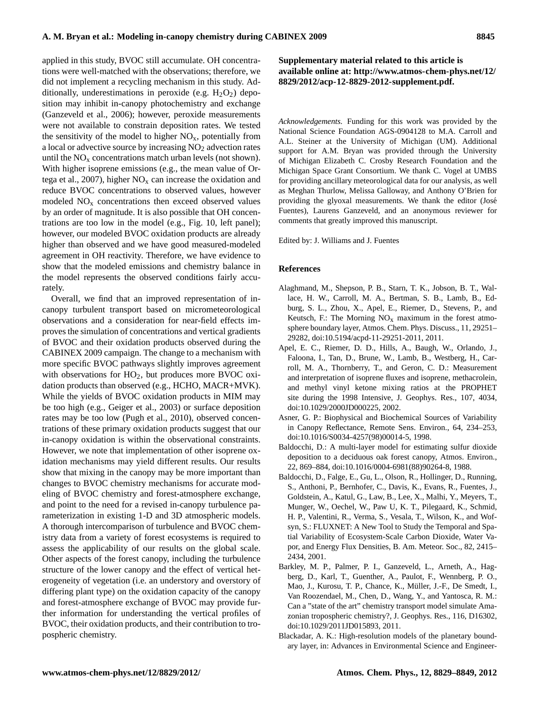applied in this study, BVOC still accumulate. OH concentrations were well-matched with the observations; therefore, we did not implement a recycling mechanism in this study. Additionally, underestimations in peroxide (e.g.  $H_2O_2$ ) deposition may inhibit in-canopy photochemistry and exchange [\(Ganzeveld et al.,](#page-17-11) [2006\)](#page-17-11); however, peroxide measurements were not available to constrain deposition rates. We tested the sensitivity of the model to higher  $NO<sub>x</sub>$ , potentially from a local or advective source by increasing  $NO<sub>2</sub>$  advection rates until the  $NO<sub>x</sub>$  concentrations match urban levels (not shown). With higher isoprene emissions (e.g., the mean value of [Or](#page-19-11)[tega et al.,](#page-19-11) [2007\)](#page-19-11), higher  $NO<sub>x</sub>$  can increase the oxidation and reduce BVOC concentrations to observed values, however modeled  $NO<sub>x</sub>$  concentrations then exceed observed values by an order of magnitude. It is also possible that OH concentrations are too low in the model (e.g., Fig. [10,](#page-14-0) left panel); however, our modeled BVOC oxidation products are already higher than observed and we have good measured-modeled agreement in OH reactivity. Therefore, we have evidence to show that the modeled emissions and chemistry balance in the model represents the observed conditions fairly accurately.

Overall, we find that an improved representation of incanopy turbulent transport based on micrometeorological observations and a consideration for near-field effects improves the simulation of concentrations and vertical gradients of BVOC and their oxidation products observed during the CABINEX 2009 campaign. The change to a mechanism with more specific BVOC pathways slightly improves agreement with observations for  $HO<sub>2</sub>$ , but produces more BVOC oxidation products than observed (e.g., HCHO, MACR+MVK). While the yields of BVOC oxidation products in MIM may be too high (e.g., [Geiger et al.,](#page-17-18) [2003\)](#page-17-18) or surface deposition rates may be too low [\(Pugh et al.,](#page-19-2) [2010\)](#page-19-2), observed concentrations of these primary oxidation products suggest that our in-canopy oxidation is within the observational constraints. However, we note that implementation of other isoprene oxidation mechanisms may yield different results. Our results show that mixing in the canopy may be more important than changes to BVOC chemistry mechanisms for accurate modeling of BVOC chemistry and forest-atmosphere exchange, and point to the need for a revised in-canopy turbulence parameterization in existing 1-D and 3D atmospheric models. A thorough intercomparison of turbulence and BVOC chemistry data from a variety of forest ecosystems is required to assess the applicability of our results on the global scale. Other aspects of the forest canopy, including the turbulence structure of the lower canopy and the effect of vertical heterogeneity of vegetation (i.e. an understory and overstory of differing plant type) on the oxidation capacity of the canopy and forest-atmosphere exchange of BVOC may provide further information for understanding the vertical profiles of BVOC, their oxidation products, and their contribution to tropospheric chemistry.

# **Supplementary material related to this article is available online at: [http://www.atmos-chem-phys.net/12/](http://www.atmos-chem-phys.net/12/8829/2012/acp-12-8829-2012-supplement.pdf) [8829/2012/acp-12-8829-2012-supplement.pdf.](http://www.atmos-chem-phys.net/12/8829/2012/acp-12-8829-2012-supplement.pdf)**

*Acknowledgements.* Funding for this work was provided by the National Science Foundation AGS-0904128 to M.A. Carroll and A.L. Steiner at the University of Michigan (UM). Additional support for A.M. Bryan was provided through the University of Michigan Elizabeth C. Crosby Research Foundation and the Michigan Space Grant Consortium. We thank C. Vogel at UMBS for providing ancillary meteorological data for our analysis, as well as Meghan Thurlow, Melissa Galloway, and Anthony O'Brien for providing the glyoxal measurements. We thank the editor (Jose´ Fuentes), Laurens Ganzeveld, and an anonymous reviewer for comments that greatly improved this manuscript.

Edited by: J. Williams and J. Fuentes

## **References**

- <span id="page-16-5"></span>Alaghmand, M., Shepson, P. B., Starn, T. K., Jobson, B. T., Wallace, H. W., Carroll, M. A., Bertman, S. B., Lamb, B., Edburg, S. L., Zhou, X., Apel, E., Riemer, D., Stevens, P., and Keutsch, F.: The Morning  $NO<sub>x</sub>$  maximum in the forest atmosphere boundary layer, Atmos. Chem. Phys. Discuss., 11, 29251– 29282, [doi:10.5194/acpd-11-29251-2011,](http://dx.doi.org/10.5194/acpd-11-29251-2011) 2011.
- <span id="page-16-6"></span>Apel, E. C., Riemer, D. D., Hills, A., Baugh, W., Orlando, J., Faloona, I., Tan, D., Brune, W., Lamb, B., Westberg, H., Carroll, M. A., Thornberry, T., and Geron, C. D.: Measurement and interpretation of isoprene fluxes and isoprene, methacrolein, and methyl vinyl ketone mixing ratios at the PROPHET site during the 1998 Intensive, J. Geophys. Res., 107, 4034, [doi:10.1029/2000JD000225,](http://dx.doi.org/10.1029/2000JD000225) 2002.
- <span id="page-16-3"></span>Asner, G. P.: Biophysical and Biochemical Sources of Variability in Canopy Reflectance, Remote Sens. Environ., 64, 234–253, [doi:10.1016/S0034-4257\(98\)00014-5,](http://dx.doi.org/10.1016/S0034-4257(98)00014-5) 1998.
- <span id="page-16-4"></span>Baldocchi, D.: A multi-layer model for estimating sulfur dioxide deposition to a deciduous oak forest canopy, Atmos. Environ., 22, 869–884, [doi:10.1016/0004-6981\(88\)90264-8,](http://dx.doi.org/10.1016/0004-6981(88)90264-8) 1988.
- <span id="page-16-2"></span>Baldocchi, D., Falge, E., Gu, L., Olson, R., Hollinger, D., Running, S., Anthoni, P., Bernhofer, C., Davis, K., Evans, R., Fuentes, J., Goldstein, A., Katul, G., Law, B., Lee, X., Malhi, Y., Meyers, T., Munger, W., Oechel, W., Paw U, K. T., Pilegaard, K., Schmid, H. P., Valentini, R., Verma, S., Vesala, T., Wilson, K., and Wofsyn, S.: FLUXNET: A New Tool to Study the Temporal and Spatial Variability of Ecosystem-Scale Carbon Dioxide, Water Vapor, and Energy Flux Densities, B. Am. Meteor. Soc., 82, 2415– 2434, 2001.
- <span id="page-16-0"></span>Barkley, M. P., Palmer, P. I., Ganzeveld, L., Arneth, A., Hagberg, D., Karl, T., Guenther, A., Paulot, F., Wennberg, P. O., Mao, J., Kurosu, T. P., Chance, K., Müller, J.-F., De Smedt, I., Van Roozendael, M., Chen, D., Wang, Y., and Yantosca, R. M.: Can a "state of the art" chemistry transport model simulate Amazonian tropospheric chemistry?, J. Geophys. Res., 116, D16302, [doi:10.1029/2011JD015893,](http://dx.doi.org/10.1029/2011JD015893) 2011.
- <span id="page-16-1"></span>Blackadar, A. K.: High-resolution models of the planetary boundary layer, in: Advances in Environmental Science and Engineer-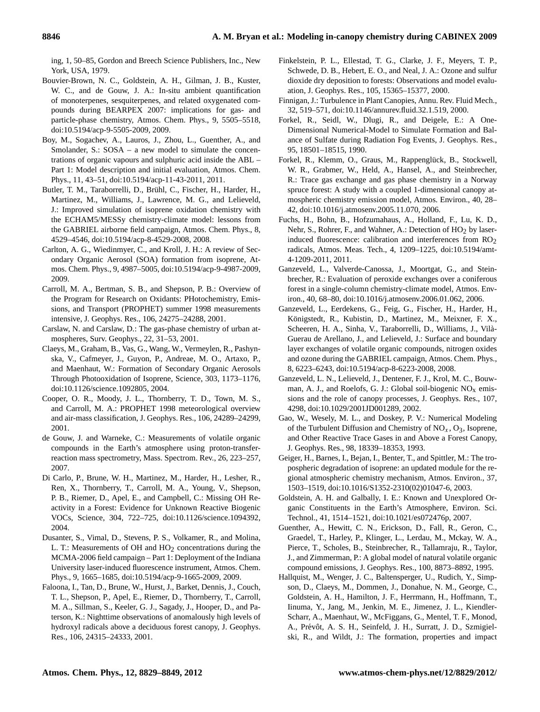ing, 1, 50–85, Gordon and Breech Science Publishers, Inc., New York, USA, 1979.

- <span id="page-17-22"></span>Bouvier-Brown, N. C., Goldstein, A. H., Gilman, J. B., Kuster, W. C., and de Gouw, J. A.: In-situ ambient quantification of monoterpenes, sesquiterpenes, and related oxygenated compounds during BEARPEX 2007: implications for gas- and particle-phase chemistry, Atmos. Chem. Phys., 9, 5505–5518, [doi:10.5194/acp-9-5505-2009,](http://dx.doi.org/10.5194/acp-9-5505-2009) 2009.
- <span id="page-17-12"></span>Boy, M., Sogachev, A., Lauros, J., Zhou, L., Guenther, A., and Smolander, S.: SOSA – a new model to simulate the concentrations of organic vapours and sulphuric acid inside the ABL – Part 1: Model description and initial evaluation, Atmos. Chem. Phys., 11, 43–51, [doi:10.5194/acp-11-43-2011,](http://dx.doi.org/10.5194/acp-11-43-2011) 2011.
- <span id="page-17-7"></span>Butler, T. M., Taraborrelli, D., Brühl, C., Fischer, H., Harder, H., Martinez, M., Williams, J., Lawrence, M. G., and Lelieveld, J.: Improved simulation of isoprene oxidation chemistry with the ECHAM5/MESSy chemistry-climate model: lessons from the GABRIEL airborne field campaign, Atmos. Chem. Phys., 8, 4529–4546, [doi:10.5194/acp-8-4529-2008,](http://dx.doi.org/10.5194/acp-8-4529-2008) 2008.
- <span id="page-17-2"></span>Carlton, A. G., Wiedinmyer, C., and Kroll, J. H.: A review of Secondary Organic Aerosol (SOA) formation from isoprene, Atmos. Chem. Phys., 9, 4987–5005, [doi:10.5194/acp-9-4987-2009,](http://dx.doi.org/10.5194/acp-9-4987-2009) 2009.
- <span id="page-17-5"></span>Carroll, M. A., Bertman, S. B., and Shepson, P. B.: Overview of the Program for Research on Oxidants: PHotochemistry, Emissions, and Transport (PROPHET) summer 1998 measurements intensive, J. Geophys. Res., 106, 24275–24288, 2001.
- <span id="page-17-6"></span>Carslaw, N. and Carslaw, D.: The gas-phase chemistry of urban atmospheres, Surv. Geophys., 22, 31–53, 2001.
- <span id="page-17-1"></span>Claeys, M., Graham, B., Vas, G., Wang, W., Vermeylen, R., Pashynska, V., Cafmeyer, J., Guyon, P., Andreae, M. O., Artaxo, P., and Maenhaut, W.: Formation of Secondary Organic Aerosols Through Photooxidation of Isoprene, Science, 303, 1173–1176, [doi:10.1126/science.1092805,](http://dx.doi.org/10.1126/science.1092805) 2004.
- <span id="page-17-19"></span>Cooper, O. R., Moody, J. L., Thornberry, T. D., Town, M. S., and Carroll, M. A.: PROPHET 1998 meteorological overview and air-mass classification, J. Geophys. Res., 106, 24289–24299, 2001.
- <span id="page-17-15"></span>de Gouw, J. and Warneke, C.: Measurements of volatile organic compounds in the Earth's atmosphere using proton-transferreaction mass spectrometry, Mass. Spectrom. Rev., 26, 223–257, 2007.
- <span id="page-17-14"></span>Di Carlo, P., Brune, W. H., Martinez, M., Harder, H., Lesher, R., Ren, X., Thornberry, T., Carroll, M. A., Young, V., Shepson, P. B., Riemer, D., Apel, E., and Campbell, C.: Missing OH Reactivity in a Forest: Evidence for Unknown Reactive Biogenic VOCs, Science, 304, 722–725, [doi:10.1126/science.1094392,](http://dx.doi.org/10.1126/science.1094392) 2004.
- <span id="page-17-16"></span>Dusanter, S., Vimal, D., Stevens, P. S., Volkamer, R., and Molina, L. T.: Measurements of OH and  $HO<sub>2</sub>$  concentrations during the MCMA-2006 field campaign – Part 1: Deployment of the Indiana University laser-induced fluorescence instrument, Atmos. Chem. Phys., 9, 1665–1685, [doi:10.5194/acp-9-1665-2009,](http://dx.doi.org/10.5194/acp-9-1665-2009) 2009.
- <span id="page-17-13"></span>Faloona, I., Tan, D., Brune, W., Hurst, J., Barket, Dennis, J., Couch, T. L., Shepson, P., Apel, E., Riemer, D., Thornberry, T., Carroll, M. A., Sillman, S., Keeler, G. J., Sagady, J., Hooper, D., and Paterson, K.: Nighttime observations of anomalously high levels of hydroxyl radicals above a deciduous forest canopy, J. Geophys. Res., 106, 24315–24333, 2001.
- <span id="page-17-20"></span>Finkelstein, P. L., Ellestad, T. G., Clarke, J. F., Meyers, T. P., Schwede, D. B., Hebert, E. O., and Neal, J. A.: Ozone and sulfur dioxide dry deposition to forests: Observations and model evaluation, J. Geophys. Res., 105, 15365–15377, 2000.
- <span id="page-17-8"></span>Finnigan, J.: Turbulence in Plant Canopies, Annu. Rev. Fluid Mech., 32, 519–571, [doi:10.1146/annurev.fluid.32.1.519,](http://dx.doi.org/10.1146/annurev.fluid.32.1.519) 2000.
- <span id="page-17-17"></span>Forkel, R., Seidl, W., Dlugi, R., and Deigele, E.: A One-Dimensional Numerical-Model to Simulate Formation and Balance of Sulfate during Radiation Fog Events, J. Geophys. Res., 95, 18501–18515, 1990.
- <span id="page-17-10"></span>Forkel, R., Klemm, O., Graus, M., Rappenglück, B., Stockwell, W. R., Grabmer, W., Held, A., Hansel, A., and Steinbrecher, R.: Trace gas exchange and gas phase chemistry in a Norway spruce forest: A study with a coupled 1-dimensional canopy atmospheric chemistry emission model, Atmos. Environ., 40, 28– 42, [doi:10.1016/j.atmosenv.2005.11.070,](http://dx.doi.org/10.1016/j.atmosenv.2005.11.070) 2006.
- <span id="page-17-24"></span>Fuchs, H., Bohn, B., Hofzumahaus, A., Holland, F., Lu, K. D., Nehr, S., Rohrer, F., and Wahner, A.: Detection of  $HO<sub>2</sub>$  by laserinduced fluorescence: calibration and interferences from  $RO<sub>2</sub>$ radicals, Atmos. Meas. Tech., 4, 1209–1225, [doi:10.5194/amt-](http://dx.doi.org/10.5194/amt-4-1209-2011)[4-1209-2011,](http://dx.doi.org/10.5194/amt-4-1209-2011) 2011.
- <span id="page-17-11"></span>Ganzeveld, L., Valverde-Canossa, J., Moortgat, G., and Steinbrecher, R.: Evaluation of peroxide exchanges over a coniferous forest in a single-column chemistry-climate model, Atmos. Environ., 40, 68–80, [doi:10.1016/j.atmosenv.2006.01.062,](http://dx.doi.org/10.1016/j.atmosenv.2006.01.062) 2006.
- <span id="page-17-21"></span>Ganzeveld, L., Eerdekens, G., Feig, G., Fischer, H., Harder, H., Königstedt, R., Kubistin, D., Martinez, M., Meixner, F. X., Scheeren, H. A., Sinha, V., Taraborrelli, D., Williams, J., Vila-` Guerau de Arellano, J., and Lelieveld, J.: Surface and boundary layer exchanges of volatile organic compounds, nitrogen oxides and ozone during the GABRIEL campaign, Atmos. Chem. Phys., 8, 6223–6243, [doi:10.5194/acp-8-6223-2008,](http://dx.doi.org/10.5194/acp-8-6223-2008) 2008.
- <span id="page-17-23"></span>Ganzeveld, L. N., Lelieveld, J., Dentener, F. J., Krol, M. C., Bouwman, A. J., and Roelofs, G. J.: Global soil-biogenic  $NO<sub>x</sub>$  emissions and the role of canopy processes, J. Geophys. Res., 107, 4298, [doi:10.1029/2001JD001289,](http://dx.doi.org/10.1029/2001JD001289) 2002.
- <span id="page-17-9"></span>Gao, W., Wesely, M. L., and Doskey, P. V.: Numerical Modeling of the Turbulent Diffusion and Chemistry of  $NO<sub>x</sub>$ ,  $O<sub>3</sub>$ , Isoprene, and Other Reactive Trace Gases in and Above a Forest Canopy, J. Geophys. Res., 98, 18339–18353, 1993.
- <span id="page-17-18"></span>Geiger, H., Barnes, I., Bejan, I., Benter, T., and Spittler, M.: The tropospheric degradation of isoprene: an updated module for the regional atmospheric chemistry mechanism, Atmos. Environ., 37, 1503–1519, [doi:10.1016/S1352-2310\(02\)01047-6,](http://dx.doi.org/10.1016/S1352-2310(02)01047-6) 2003.
- <span id="page-17-0"></span>Goldstein, A. H. and Galbally, I. E.: Known and Unexplored Organic Constituents in the Earth's Atmosphere, Environ. Sci. Technol., 41, 1514–1521, [doi:10.1021/es072476p,](http://dx.doi.org/10.1021/es072476p) 2007.
- <span id="page-17-4"></span>Guenther, A., Hewitt, C. N., Erickson, D., Fall, R., Geron, C., Graedel, T., Harley, P., Klinger, L., Lerdau, M., Mckay, W. A., Pierce, T., Scholes, B., Steinbrecher, R., Tallamraju, R., Taylor, J., and Zimmerman, P.: A global model of natural volatile organic compound emissions, J. Geophys. Res., 100, 8873–8892, 1995.
- <span id="page-17-3"></span>Hallquist, M., Wenger, J. C., Baltensperger, U., Rudich, Y., Simpson, D., Claeys, M., Dommen, J., Donahue, N. M., George, C., Goldstein, A. H., Hamilton, J. F., Herrmann, H., Hoffmann, T., Iinuma, Y., Jang, M., Jenkin, M. E., Jimenez, J. L., Kiendler-Scharr, A., Maenhaut, W., McFiggans, G., Mentel, T. F., Monod, A., Prévôt, A. S. H., Seinfeld, J. H., Surratt, J. D., Szmigielski, R., and Wildt, J.: The formation, properties and impact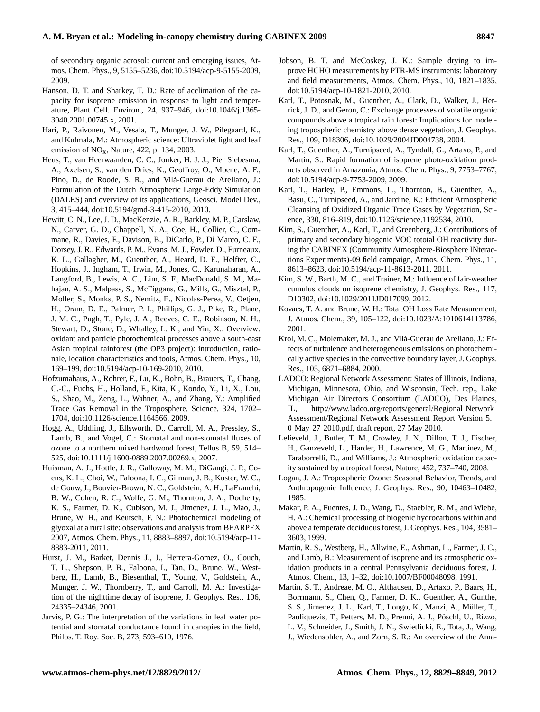# **A. M. Bryan et al.: Modeling in-canopy chemistry during CABINEX 2009 8847**

of secondary organic aerosol: current and emerging issues, Atmos. Chem. Phys., 9, 5155–5236, [doi:10.5194/acp-9-5155-2009,](http://dx.doi.org/10.5194/acp-9-5155-2009) 2009.

- <span id="page-18-15"></span>Hanson, D. T. and Sharkey, T. D.: Rate of acclimation of the capacity for isoprene emission in response to light and temperature, Plant Cell. Environ., 24, 937–946, [doi:10.1046/j.1365-](http://dx.doi.org/10.1046/j.1365-3040.2001.00745.x) [3040.2001.00745.x,](http://dx.doi.org/10.1046/j.1365-3040.2001.00745.x) 2001.
- <span id="page-18-16"></span>Hari, P., Raivonen, M., Vesala, T., Munger, J. W., Pilegaard, K., and Kulmala, M.: Atmospheric science: Ultraviolet light and leaf emission of NOx, Nature, 422, p. 134, 2003.
- <span id="page-18-9"></span>Heus, T., van Heerwaarden, C. C., Jonker, H. J. J., Pier Siebesma, A., Axelsen, S., van den Dries, K., Geoffroy, O., Moene, A. F., Pino, D., de Roode, S. R., and Vilà-Guerau de Arellano, J.: Formulation of the Dutch Atmospheric Large-Eddy Simulation (DALES) and overview of its applications, Geosci. Model Dev., 3, 415–444, [doi:10.5194/gmd-3-415-2010,](http://dx.doi.org/10.5194/gmd-3-415-2010) 2010.
- <span id="page-18-3"></span>Hewitt, C. N., Lee, J. D., MacKenzie, A. R., Barkley, M. P., Carslaw, N., Carver, G. D., Chappell, N. A., Coe, H., Collier, C., Commane, R., Davies, F., Davison, B., DiCarlo, P., Di Marco, C. F., Dorsey, J. R., Edwards, P. M., Evans, M. J., Fowler, D., Furneaux, K. L., Gallagher, M., Guenther, A., Heard, D. E., Helfter, C., Hopkins, J., Ingham, T., Irwin, M., Jones, C., Karunaharan, A., Langford, B., Lewis, A. C., Lim, S. F., MacDonald, S. M., Mahajan, A. S., Malpass, S., McFiggans, G., Mills, G., Misztal, P., Moller, S., Monks, P. S., Nemitz, E., Nicolas-Perea, V., Oetjen, H., Oram, D. E., Palmer, P. I., Phillips, G. J., Pike, R., Plane, J. M. C., Pugh, T., Pyle, J. A., Reeves, C. E., Robinson, N. H., Stewart, D., Stone, D., Whalley, L. K., and Yin, X.: Overview: oxidant and particle photochemical processes above a south-east Asian tropical rainforest (the OP3 project): introduction, rationale, location characteristics and tools, Atmos. Chem. Phys., 10, 169–199, [doi:10.5194/acp-10-169-2010,](http://dx.doi.org/10.5194/acp-10-169-2010) 2010.
- <span id="page-18-6"></span>Hofzumahaus, A., Rohrer, F., Lu, K., Bohn, B., Brauers, T., Chang, C.-C., Fuchs, H., Holland, F., Kita, K., Kondo, Y., Li, X., Lou, S., Shao, M., Zeng, L., Wahner, A., and Zhang, Y.: Amplified Trace Gas Removal in the Troposphere, Science, 324, 1702– 1704, [doi:10.1126/science.1164566,](http://dx.doi.org/10.1126/science.1164566) 2009.
- <span id="page-18-21"></span>Hogg, A., Uddling, J., Ellsworth, D., Carroll, M. A., Pressley, S., Lamb, B., and Vogel, C.: Stomatal and non-stomatal fluxes of ozone to a northern mixed hardwood forest, Tellus B, 59, 514– 525, [doi:10.1111/j.1600-0889.2007.00269.x,](http://dx.doi.org/10.1111/j.1600-0889.2007.00269.x) 2007.
- <span id="page-18-14"></span>Huisman, A. J., Hottle, J. R., Galloway, M. M., DiGangi, J. P., Coens, K. L., Choi, W., Faloona, I. C., Gilman, J. B., Kuster, W. C., de Gouw, J., Bouvier-Brown, N. C., Goldstein, A. H., LaFranchi, B. W., Cohen, R. C., Wolfe, G. M., Thornton, J. A., Docherty, K. S., Farmer, D. K., Cubison, M. J., Jimenez, J. L., Mao, J., Brune, W. H., and Keutsch, F. N.: Photochemical modeling of glyoxal at a rural site: observations and analysis from BEARPEX 2007, Atmos. Chem. Phys., 11, 8883–8897, [doi:10.5194/acp-11-](http://dx.doi.org/10.5194/acp-11-8883-2011) [8883-2011,](http://dx.doi.org/10.5194/acp-11-8883-2011) 2011.
- <span id="page-18-7"></span>Hurst, J. M., Barket, Dennis J., J., Herrera-Gomez, O., Couch, T. L., Shepson, P. B., Faloona, I., Tan, D., Brune, W., Westberg, H., Lamb, B., Biesenthal, T., Young, V., Goldstein, A., Munger, J. W., Thornberry, T., and Carroll, M. A.: Investigation of the nighttime decay of isoprene, J. Geophys. Res., 106, 24335–24346, 2001.
- <span id="page-18-17"></span>Jarvis, P. G.: The interpretation of the variations in leaf water potential and stomatal conductance found in canopies in the field, Philos. T. Roy. Soc. B, 273, 593–610, 1976.
- <span id="page-18-12"></span>Jobson, B. T. and McCoskey, J. K.: Sample drying to improve HCHO measurements by PTR-MS instruments: laboratory and field measurements, Atmos. Chem. Phys., 10, 1821–1835, [doi:10.5194/acp-10-1821-2010,](http://dx.doi.org/10.5194/acp-10-1821-2010) 2010.
- <span id="page-18-18"></span>Karl, T., Potosnak, M., Guenther, A., Clark, D., Walker, J., Herrick, J. D., and Geron, C.: Exchange processes of volatile organic compounds above a tropical rain forest: Implications for modeling tropospheric chemistry above dense vegetation, J. Geophys. Res., 109, D18306, [doi:10.1029/2004JD004738,](http://dx.doi.org/10.1029/2004JD004738) 2004.
- <span id="page-18-5"></span>Karl, T., Guenther, A., Turnipseed, A., Tyndall, G., Artaxo, P., and Martin, S.: Rapid formation of isoprene photo-oxidation products observed in Amazonia, Atmos. Chem. Phys., 9, 7753–7767, [doi:10.5194/acp-9-7753-2009,](http://dx.doi.org/10.5194/acp-9-7753-2009) 2009.
- <span id="page-18-19"></span>Karl, T., Harley, P., Emmons, L., Thornton, B., Guenther, A., Basu, C., Turnipseed, A., and Jardine, K.: Efficient Atmospheric Cleansing of Oxidized Organic Trace Gases by Vegetation, Science, 330, 816–819, [doi:10.1126/science.1192534,](http://dx.doi.org/10.1126/science.1192534) 2010.
- <span id="page-18-11"></span>Kim, S., Guenther, A., Karl, T., and Greenberg, J.: Contributions of primary and secondary biogenic VOC tototal OH reactivity during the CABINEX (Community Atmosphere-Biosphere INteractions Experiments)-09 field campaign, Atmos. Chem. Phys., 11, 8613–8623, [doi:10.5194/acp-11-8613-2011,](http://dx.doi.org/10.5194/acp-11-8613-2011) 2011.
- <span id="page-18-10"></span>Kim, S. W., Barth, M. C., and Trainer, M.: Influence of fair-weather cumulus clouds on isoprene chemistry, J. Geophys. Res., 117, D10302, [doi:10.1029/2011JD017099,](http://dx.doi.org/10.1029/2011JD017099) 2012.
- <span id="page-18-13"></span>Kovacs, T. A. and Brune, W. H.: Total OH Loss Rate Measurement, J. Atmos. Chem., 39, 105–122, [doi:10.1023/A:1010614113786,](http://dx.doi.org/10.1023/A:1010614113786) 2001.
- <span id="page-18-2"></span>Krol, M. C., Molemaker, M. J., and Vilà-Guerau de Arellano, J.: Effects of turbulence and heterogeneous emissions on photochemically active species in the convective boundary layer, J. Geophys. Res., 105, 6871–6884, 2000.
- <span id="page-18-20"></span>LADCO: Regional Network Assessment: States of Illinois, Indiana, Michigan, Minnesota, Ohio, and Wisconsin, Tech. rep., Lake Michigan Air Directors Consortium (LADCO), Des Plaines, IL, [http://www.ladco.org/reports/general/Regional](http://www.ladco.org/reports/general/Regional_Network_Assessment/Regional_Network_Assessment_Report_Version_5.0_May_27_2010.pdf) Network [Assessment/Regional](http://www.ladco.org/reports/general/Regional_Network_Assessment/Regional_Network_Assessment_Report_Version_5.0_May_27_2010.pdf)\_Network\_Assessment\_Report\_Version\_5. 0 May 27 [2010.pdf,](http://www.ladco.org/reports/general/Regional_Network_Assessment/Regional_Network_Assessment_Report_Version_5.0_May_27_2010.pdf) draft report, 27 May 2010.
- <span id="page-18-0"></span>Lelieveld, J., Butler, T. M., Crowley, J. N., Dillon, T. J., Fischer, H., Ganzeveld, L., Harder, H., Lawrence, M. G., Martinez, M., Taraborrelli, D., and Williams, J.: Atmospheric oxidation capacity sustained by a tropical forest, Nature, 452, 737–740, 2008.
- <span id="page-18-1"></span>Logan, J. A.: Tropospheric Ozone: Seasonal Behavior, Trends, and Anthropogenic Influence, J. Geophys. Res., 90, 10463–10482, 1985.
- <span id="page-18-8"></span>Makar, P. A., Fuentes, J. D., Wang, D., Staebler, R. M., and Wiebe, H. A.: Chemical processing of biogenic hydrocarbons within and above a temperate deciduous forest, J. Geophys. Res., 104, 3581– 3603, 1999.
- <span id="page-18-22"></span>Martin, R. S., Westberg, H., Allwine, E., Ashman, L., Farmer, J. C., and Lamb, B.: Measurement of isoprene and its atmospheric oxidation products in a central Pennsylvania deciduous forest, J. Atmos. Chem., 13, 1–32, [doi:10.1007/BF00048098,](http://dx.doi.org/10.1007/BF00048098) 1991.
- <span id="page-18-4"></span>Martin, S. T., Andreae, M. O., Althausen, D., Artaxo, P., Baars, H., Borrmann, S., Chen, Q., Farmer, D. K., Guenther, A., Gunthe, S. S., Jimenez, J. L., Karl, T., Longo, K., Manzi, A., Müller, T., Pauliquevis, T., Petters, M. D., Prenni, A. J., Pöschl, U., Rizzo, L. V., Schneider, J., Smith, J. N., Swietlicki, E., Tota, J., Wang, J., Wiedensohler, A., and Zorn, S. R.: An overview of the Ama-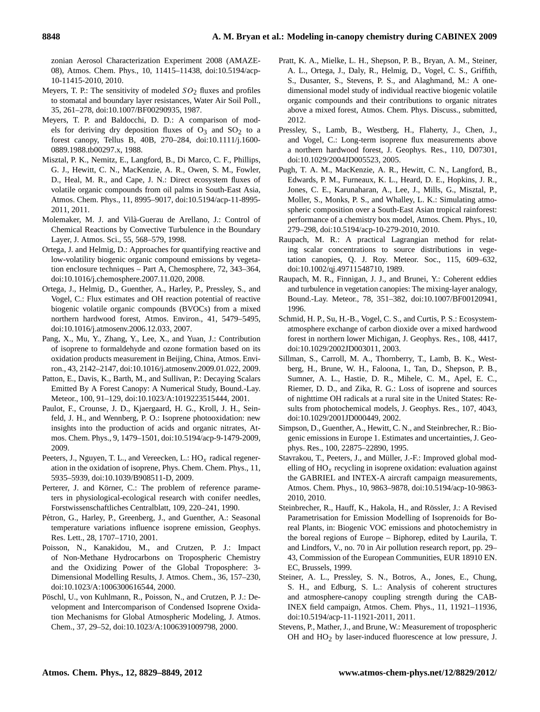zonian Aerosol Characterization Experiment 2008 (AMAZE-08), Atmos. Chem. Phys., 10, 11415–11438, [doi:10.5194/acp-](http://dx.doi.org/10.5194/acp-10-11415-2010)[10-11415-2010,](http://dx.doi.org/10.5194/acp-10-11415-2010) 2010.

- <span id="page-19-22"></span>Meyers, T. P.: The sensitivity of modeled  $SO<sub>2</sub>$  fluxes and profiles to stomatal and boundary layer resistances, Water Air Soil Poll., 35, 261–278, [doi:10.1007/BF00290935,](http://dx.doi.org/10.1007/BF00290935) 1987.
- <span id="page-19-21"></span>Meyers, T. P. and Baldocchi, D. D.: A comparison of models for deriving dry deposition fluxes of  $O_3$  and  $SO_2$  to a forest canopy, Tellus B, 40B, 270–284, [doi:10.1111/j.1600-](http://dx.doi.org/10.1111/j.1600-0889.1988.tb00297.x) [0889.1988.tb00297.x,](http://dx.doi.org/10.1111/j.1600-0889.1988.tb00297.x) 1988.
- <span id="page-19-25"></span>Misztal, P. K., Nemitz, E., Langford, B., Di Marco, C. F., Phillips, G. J., Hewitt, C. N., MacKenzie, A. R., Owen, S. M., Fowler, D., Heal, M. R., and Cape, J. N.: Direct ecosystem fluxes of volatile organic compounds from oil palms in South-East Asia, Atmos. Chem. Phys., 11, 8995–9017, [doi:10.5194/acp-11-8995-](http://dx.doi.org/10.5194/acp-11-8995-2011) [2011,](http://dx.doi.org/10.5194/acp-11-8995-2011) 2011.
- <span id="page-19-1"></span>Molemaker, M. J. and Vila-Guerau de Arellano, J.: Control of ` Chemical Reactions by Convective Turbulence in the Boundary Layer, J. Atmos. Sci., 55, 568–579, 1998.
- <span id="page-19-17"></span>Ortega, J. and Helmig, D.: Approaches for quantifying reactive and low-volatility biogenic organic compound emissions by vegetation enclosure techniques – Part A, Chemosphere, 72, 343–364, [doi:10.1016/j.chemosphere.2007.11.020,](http://dx.doi.org/10.1016/j.chemosphere.2007.11.020) 2008.
- <span id="page-19-11"></span>Ortega, J., Helmig, D., Guenther, A., Harley, P., Pressley, S., and Vogel, C.: Flux estimates and OH reaction potential of reactive biogenic volatile organic compounds (BVOCs) from a mixed northern hardwood forest, Atmos. Environ., 41, 5479–5495, [doi:10.1016/j.atmosenv.2006.12.033,](http://dx.doi.org/10.1016/j.atmosenv.2006.12.033) 2007.
- <span id="page-19-24"></span>Pang, X., Mu, Y., Zhang, Y., Lee, X., and Yuan, J.: Contribution of isoprene to formaldehyde and ozone formation based on its oxidation products measurement in Beijing, China, Atmos. Environ., 43, 2142–2147, [doi:10.1016/j.atmosenv.2009.01.022,](http://dx.doi.org/10.1016/j.atmosenv.2009.01.022) 2009.
- <span id="page-19-9"></span>Patton, E., Davis, K., Barth, M., and Sullivan, P.: Decaying Scalars Emitted By A Forest Canopy: A Numerical Study, Bound.-Lay. Meteor., 100, 91–129, [doi:10.1023/A:1019223515444,](http://dx.doi.org/10.1023/A:1019223515444) 2001.
- <span id="page-19-3"></span>Paulot, F., Crounse, J. D., Kjaergaard, H. G., Kroll, J. H., Seinfeld, J. H., and Wennberg, P. O.: Isoprene photooxidation: new insights into the production of acids and organic nitrates, Atmos. Chem. Phys., 9, 1479–1501, [doi:10.5194/acp-9-1479-2009,](http://dx.doi.org/10.5194/acp-9-1479-2009) 2009.
- <span id="page-19-5"></span>Peeters, J., Nguyen, T. L., and Vereecken, L.:  $HO_x$  radical regeneration in the oxidation of isoprene, Phys. Chem. Chem. Phys., 11, 5935–5939, [doi:10.1039/B908511-D,](http://dx.doi.org/10.1039/B908511-D) 2009.
- <span id="page-19-18"></span>Perterer, J. and Körner, C.: The problem of reference parameters in physiological-ecological research with conifer needles, Forstwissenschaftliches Centralblatt, 109, 220–241, 1990.
- <span id="page-19-19"></span>Pétron, G., Harley, P., Greenberg, J., and Guenther, A.: Seasonal temperature variations influence isoprene emission, Geophys. Res. Lett., 28, 1707–1710, 2001.
- <span id="page-19-0"></span>Poisson, N., Kanakidou, M., and Crutzen, P. J.: Impact of Non-Methane Hydrocarbons on Tropospheric Chemistry and the Oxidizing Power of the Global Troposphere: 3- Dimensional Modelling Results, J. Atmos. Chem., 36, 157–230, [doi:10.1023/A:1006300616544,](http://dx.doi.org/10.1023/A:1006300616544) 2000.
- <span id="page-19-4"></span>Pöschl, U., von Kuhlmann, R., Poisson, N., and Crutzen, P. J.: Development and Intercomparison of Condensed Isoprene Oxidation Mechanisms for Global Atmospheric Modeling, J. Atmos. Chem., 37, 29–52, [doi:10.1023/A:1006391009798,](http://dx.doi.org/10.1023/A:1006391009798) 2000.
- <span id="page-19-23"></span>Pratt, K. A., Mielke, L. H., Shepson, P. B., Bryan, A. M., Steiner, A. L., Ortega, J., Daly, R., Helmig, D., Vogel, C. S., Griffith, S., Dusanter, S., Stevens, P. S., and Alaghmand, M.: A onedimensional model study of individual reactive biogenic volatile organic compounds and their contributions to organic nitrates above a mixed forest, Atmos. Chem. Phys. Discuss., submitted, 2012.
- <span id="page-19-13"></span>Pressley, S., Lamb, B., Westberg, H., Flaherty, J., Chen, J., and Vogel, C.: Long-term isoprene flux measurements above a northern hardwood forest, J. Geophys. Res., 110, D07301, [doi:10.1029/2004JD005523,](http://dx.doi.org/10.1029/2004JD005523) 2005.
- <span id="page-19-2"></span>Pugh, T. A. M., MacKenzie, A. R., Hewitt, C. N., Langford, B., Edwards, P. M., Furneaux, K. L., Heard, D. E., Hopkins, J. R., Jones, C. E., Karunaharan, A., Lee, J., Mills, G., Misztal, P., Moller, S., Monks, P. S., and Whalley, L. K.: Simulating atmospheric composition over a South-East Asian tropical rainforest: performance of a chemistry box model, Atmos. Chem. Phys., 10, 279–298, [doi:10.5194/acp-10-279-2010,](http://dx.doi.org/10.5194/acp-10-279-2010) 2010.
- <span id="page-19-8"></span>Raupach, M. R.: A practical Lagrangian method for relating scalar concentrations to source distributions in vegetation canopies, Q. J. Roy. Meteor. Soc., 115, 609–632, [doi:10.1002/qj.49711548710,](http://dx.doi.org/10.1002/qj.49711548710) 1989.
- <span id="page-19-7"></span>Raupach, M. R., Finnigan, J. J., and Brunei, Y.: Coherent eddies and turbulence in vegetation canopies: The mixing-layer analogy, Bound.-Lay. Meteor., 78, 351–382, [doi:10.1007/BF00120941,](http://dx.doi.org/10.1007/BF00120941) 1996.
- <span id="page-19-12"></span>Schmid, H. P., Su, H.-B., Vogel, C. S., and Curtis, P. S.: Ecosystematmosphere exchange of carbon dioxide over a mixed hardwood forest in northern lower Michigan, J. Geophys. Res., 108, 4417, [doi:10.1029/2002JD003011,](http://dx.doi.org/10.1029/2002JD003011) 2003.
- <span id="page-19-10"></span>Sillman, S., Carroll, M. A., Thornberry, T., Lamb, B. K., Westberg, H., Brune, W. H., Faloona, I., Tan, D., Shepson, P. B., Sumner, A. L., Hastie, D. R., Mihele, C. M., Apel, E. C., Riemer, D. D., and Zika, R. G.: Loss of isoprene and sources of nighttime OH radicals at a rural site in the United States: Results from photochemical models, J. Geophys. Res., 107, 4043, [doi:10.1029/2001JD000449,](http://dx.doi.org/10.1029/2001JD000449) 2002.
- <span id="page-19-20"></span>Simpson, D., Guenther, A., Hewitt, C. N., and Steinbrecher, R.: Biogenic emissions in Europe 1. Estimates and uncertainties, J. Geophys. Res., 100, 22875–22890, 1995.
- <span id="page-19-6"></span>Stavrakou, T., Peeters, J., and Müller, J.-F.: Improved global modelling of  $HO_x$  recycling in isoprene oxidation: evaluation against the GABRIEL and INTEX-A aircraft campaign measurements, Atmos. Chem. Phys., 10, 9863–9878, [doi:10.5194/acp-10-9863-](http://dx.doi.org/10.5194/acp-10-9863-2010) [2010,](http://dx.doi.org/10.5194/acp-10-9863-2010) 2010.
- <span id="page-19-16"></span>Steinbrecher, R., Hauff, K., Hakola, H., and Rössler, J.: A Revised Parametrisation for Emission Modelling of Isoprenoids for Boreal Plants, in: Biogenic VOC emissions and photochemistry in the boreal regions of Europe – Biphorep, edited by Laurila, T. and Lindfors, V., no. 70 in Air pollution research report, pp. 29– 43, Commission of the European Communities, EUR 18910 EN. EC, Brussels, 1999.
- <span id="page-19-15"></span>Steiner, A. L., Pressley, S. N., Botros, A., Jones, E., Chung, S. H., and Edburg, S. L.: Analysis of coherent structures and atmosphere-canopy coupling strength during the CAB-INEX field campaign, Atmos. Chem. Phys., 11, 11921–11936, [doi:10.5194/acp-11-11921-2011,](http://dx.doi.org/10.5194/acp-11-11921-2011) 2011.
- <span id="page-19-14"></span>Stevens, P., Mather, J., and Brune, W.: Measurement of tropospheric OH and HO2 by laser-induced fluorescence at low pressure, J.